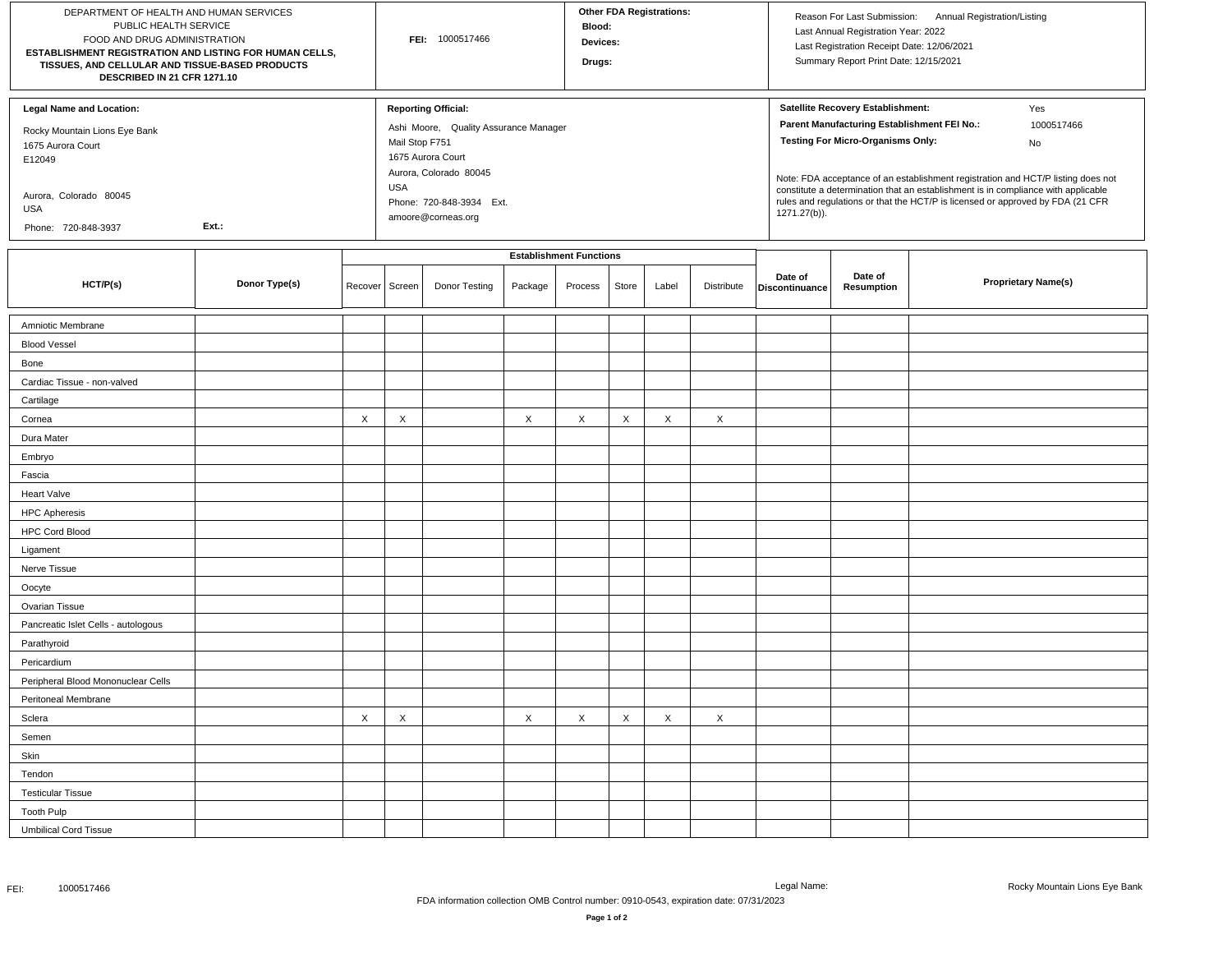| DEPARTMENT OF HEALTH AND HUMAN SERVICES<br>PUBLIC HEALTH SERVICE<br>FOOD AND DRUG ADMINISTRATION<br>ESTABLISHMENT REGISTRATION AND LISTING FOR HUMAN CELLS,<br>TISSUES, AND CELLULAR AND TISSUE-BASED PRODUCTS<br>DESCRIBED IN 21 CFR 1271.10 |               |         |                              | FEI: 1000517466                                                                                                    |         | <b>Blood:</b><br>Devices:<br>Drugs: |       | <b>Other FDA Registrations:</b> |            |                           | Last Annual Registration Year: 2022<br>Last Registration Receipt Date: 12/06/2021<br>Summary Report Print Date: 12/15/2021   | Reason For Last Submission: Annual Registration/Listing |                                                                                                                                                                                                  |
|-----------------------------------------------------------------------------------------------------------------------------------------------------------------------------------------------------------------------------------------------|---------------|---------|------------------------------|--------------------------------------------------------------------------------------------------------------------|---------|-------------------------------------|-------|---------------------------------|------------|---------------------------|------------------------------------------------------------------------------------------------------------------------------|---------------------------------------------------------|--------------------------------------------------------------------------------------------------------------------------------------------------------------------------------------------------|
| <b>Legal Name and Location:</b><br>Rocky Mountain Lions Eye Bank<br>1675 Aurora Court<br>E12049                                                                                                                                               |               |         | Mail Stop F751<br><b>USA</b> | <b>Reporting Official:</b><br>Ashi Moore, Quality Assurance Manager<br>1675 Aurora Court<br>Aurora, Colorado 80045 |         |                                     |       |                                 |            |                           | Satellite Recovery Establishment:<br>Parent Manufacturing Establishment FEI No.:<br><b>Testing For Micro-Organisms Only:</b> |                                                         | Yes<br>1000517466<br>No<br>Note: FDA acceptance of an establishment registration and HCT/P listing does not<br>constitute a determination that an establishment is in compliance with applicable |
| Aurora, Colorado 80045<br>USA<br>Phone: 720-848-3937                                                                                                                                                                                          | Ext.:         |         |                              | Phone: 720-848-3934 Ext.<br>amoore@corneas.org                                                                     |         |                                     |       |                                 |            | 1271.27(b)).              |                                                                                                                              |                                                         | rules and regulations or that the HCT/P is licensed or approved by FDA (21 CFR                                                                                                                   |
|                                                                                                                                                                                                                                               |               |         |                              |                                                                                                                    |         | <b>Establishment Functions</b>      |       |                                 |            |                           |                                                                                                                              |                                                         |                                                                                                                                                                                                  |
| HCT/P(s)                                                                                                                                                                                                                                      | Donor Type(s) | Recover | Screen                       | Donor Testing                                                                                                      | Package | Process                             | Store | Label                           | Distribute | Date of<br>Discontinuance | Date of<br>Resumption                                                                                                        |                                                         | <b>Proprietary Name(s)</b>                                                                                                                                                                       |
| Amniotic Membrane                                                                                                                                                                                                                             |               |         |                              |                                                                                                                    |         |                                     |       |                                 |            |                           |                                                                                                                              |                                                         |                                                                                                                                                                                                  |
| <b>Blood Vessel</b>                                                                                                                                                                                                                           |               |         |                              |                                                                                                                    |         |                                     |       |                                 |            |                           |                                                                                                                              |                                                         |                                                                                                                                                                                                  |
| Bone                                                                                                                                                                                                                                          |               |         |                              |                                                                                                                    |         |                                     |       |                                 |            |                           |                                                                                                                              |                                                         |                                                                                                                                                                                                  |
| Cardiac Tissue - non-valved                                                                                                                                                                                                                   |               |         |                              |                                                                                                                    |         |                                     |       |                                 |            |                           |                                                                                                                              |                                                         |                                                                                                                                                                                                  |
| Cartilage                                                                                                                                                                                                                                     |               |         |                              |                                                                                                                    |         |                                     |       |                                 |            |                           |                                                                                                                              |                                                         |                                                                                                                                                                                                  |
| Cornea                                                                                                                                                                                                                                        |               | X       | X                            |                                                                                                                    | X       | X                                   | X     | X                               | $\times$   |                           |                                                                                                                              |                                                         |                                                                                                                                                                                                  |
| Dura Mater                                                                                                                                                                                                                                    |               |         |                              |                                                                                                                    |         |                                     |       |                                 |            |                           |                                                                                                                              |                                                         |                                                                                                                                                                                                  |
| Embryo                                                                                                                                                                                                                                        |               |         |                              |                                                                                                                    |         |                                     |       |                                 |            |                           |                                                                                                                              |                                                         |                                                                                                                                                                                                  |
| Fascia                                                                                                                                                                                                                                        |               |         |                              |                                                                                                                    |         |                                     |       |                                 |            |                           |                                                                                                                              |                                                         |                                                                                                                                                                                                  |
| <b>Heart Valve</b>                                                                                                                                                                                                                            |               |         |                              |                                                                                                                    |         |                                     |       |                                 |            |                           |                                                                                                                              |                                                         |                                                                                                                                                                                                  |
| <b>HPC Apheresis</b>                                                                                                                                                                                                                          |               |         |                              |                                                                                                                    |         |                                     |       |                                 |            |                           |                                                                                                                              |                                                         |                                                                                                                                                                                                  |
| <b>HPC Cord Blood</b>                                                                                                                                                                                                                         |               |         |                              |                                                                                                                    |         |                                     |       |                                 |            |                           |                                                                                                                              |                                                         |                                                                                                                                                                                                  |
| Ligament                                                                                                                                                                                                                                      |               |         |                              |                                                                                                                    |         |                                     |       |                                 |            |                           |                                                                                                                              |                                                         |                                                                                                                                                                                                  |
| Nerve Tissue                                                                                                                                                                                                                                  |               |         |                              |                                                                                                                    |         |                                     |       |                                 |            |                           |                                                                                                                              |                                                         |                                                                                                                                                                                                  |
| Oocyte                                                                                                                                                                                                                                        |               |         |                              |                                                                                                                    |         |                                     |       |                                 |            |                           |                                                                                                                              |                                                         |                                                                                                                                                                                                  |
| Ovarian Tissue                                                                                                                                                                                                                                |               |         |                              |                                                                                                                    |         |                                     |       |                                 |            |                           |                                                                                                                              |                                                         |                                                                                                                                                                                                  |
| Pancreatic Islet Cells - autologous                                                                                                                                                                                                           |               |         |                              |                                                                                                                    |         |                                     |       |                                 |            |                           |                                                                                                                              |                                                         |                                                                                                                                                                                                  |
| Parathyroid                                                                                                                                                                                                                                   |               |         |                              |                                                                                                                    |         |                                     |       |                                 |            |                           |                                                                                                                              |                                                         |                                                                                                                                                                                                  |
| Pericardium                                                                                                                                                                                                                                   |               |         |                              |                                                                                                                    |         |                                     |       |                                 |            |                           |                                                                                                                              |                                                         |                                                                                                                                                                                                  |
| Peripheral Blood Mononuclear Cells                                                                                                                                                                                                            |               |         |                              |                                                                                                                    |         |                                     |       |                                 |            |                           |                                                                                                                              |                                                         |                                                                                                                                                                                                  |
| Peritoneal Membrane                                                                                                                                                                                                                           |               |         |                              |                                                                                                                    |         |                                     |       |                                 |            |                           |                                                                                                                              |                                                         |                                                                                                                                                                                                  |
| Sclera                                                                                                                                                                                                                                        |               | X       | X                            |                                                                                                                    | X       | $\boldsymbol{\mathsf{X}}$           | X     | Χ                               | $\times$   |                           |                                                                                                                              |                                                         |                                                                                                                                                                                                  |
| Semen                                                                                                                                                                                                                                         |               |         |                              |                                                                                                                    |         |                                     |       |                                 |            |                           |                                                                                                                              |                                                         |                                                                                                                                                                                                  |
| Skin                                                                                                                                                                                                                                          |               |         |                              |                                                                                                                    |         |                                     |       |                                 |            |                           |                                                                                                                              |                                                         |                                                                                                                                                                                                  |
| Tendon                                                                                                                                                                                                                                        |               |         |                              |                                                                                                                    |         |                                     |       |                                 |            |                           |                                                                                                                              |                                                         |                                                                                                                                                                                                  |
| <b>Testicular Tissue</b>                                                                                                                                                                                                                      |               |         |                              |                                                                                                                    |         |                                     |       |                                 |            |                           |                                                                                                                              |                                                         |                                                                                                                                                                                                  |
| <b>Tooth Pulp</b>                                                                                                                                                                                                                             |               |         |                              |                                                                                                                    |         |                                     |       |                                 |            |                           |                                                                                                                              |                                                         |                                                                                                                                                                                                  |
| <b>Umbilical Cord Tissue</b>                                                                                                                                                                                                                  |               |         |                              |                                                                                                                    |         |                                     |       |                                 |            |                           |                                                                                                                              |                                                         |                                                                                                                                                                                                  |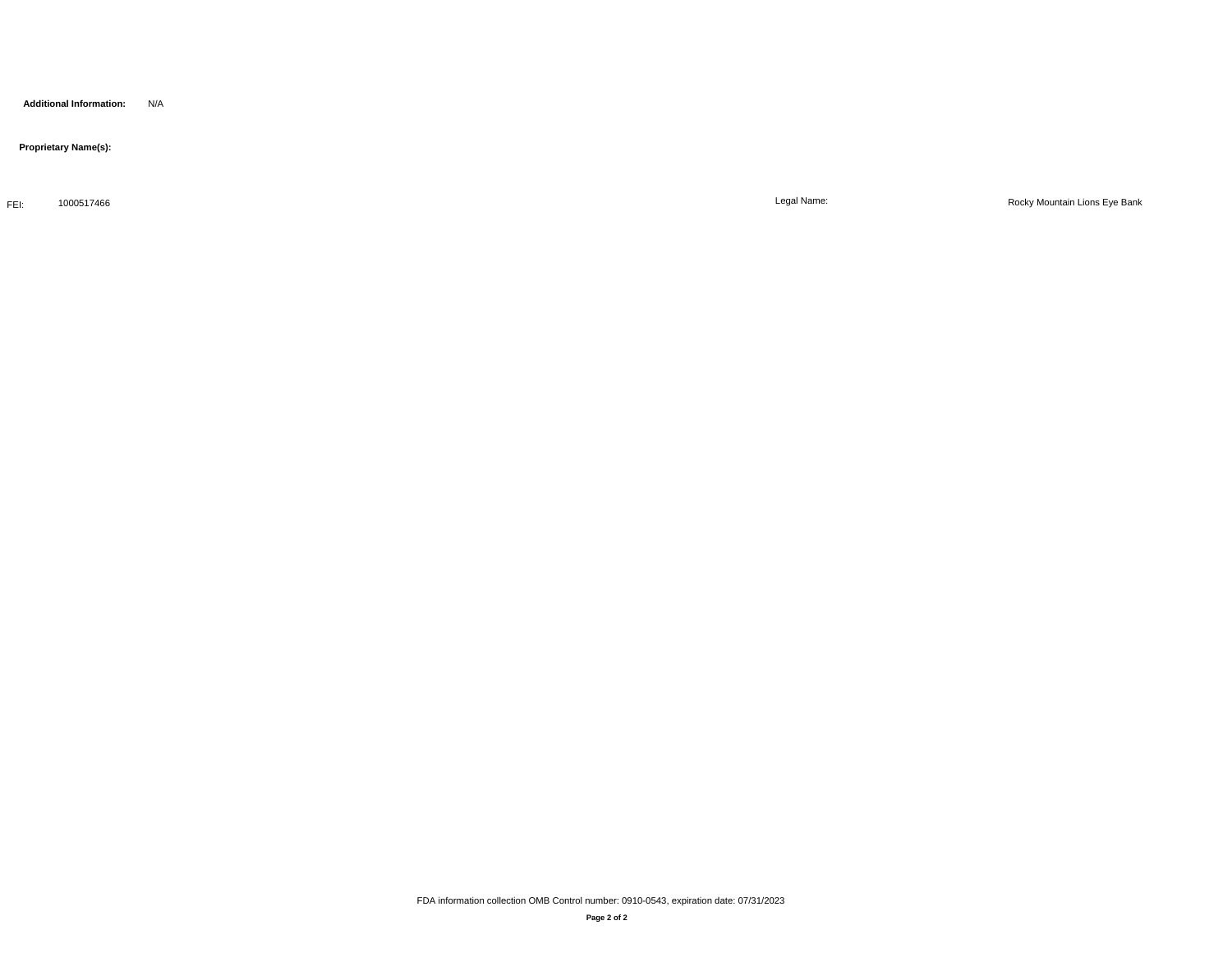**Additional Information:** N/A

 **Proprietary Name(s):**

FEI: 1000517466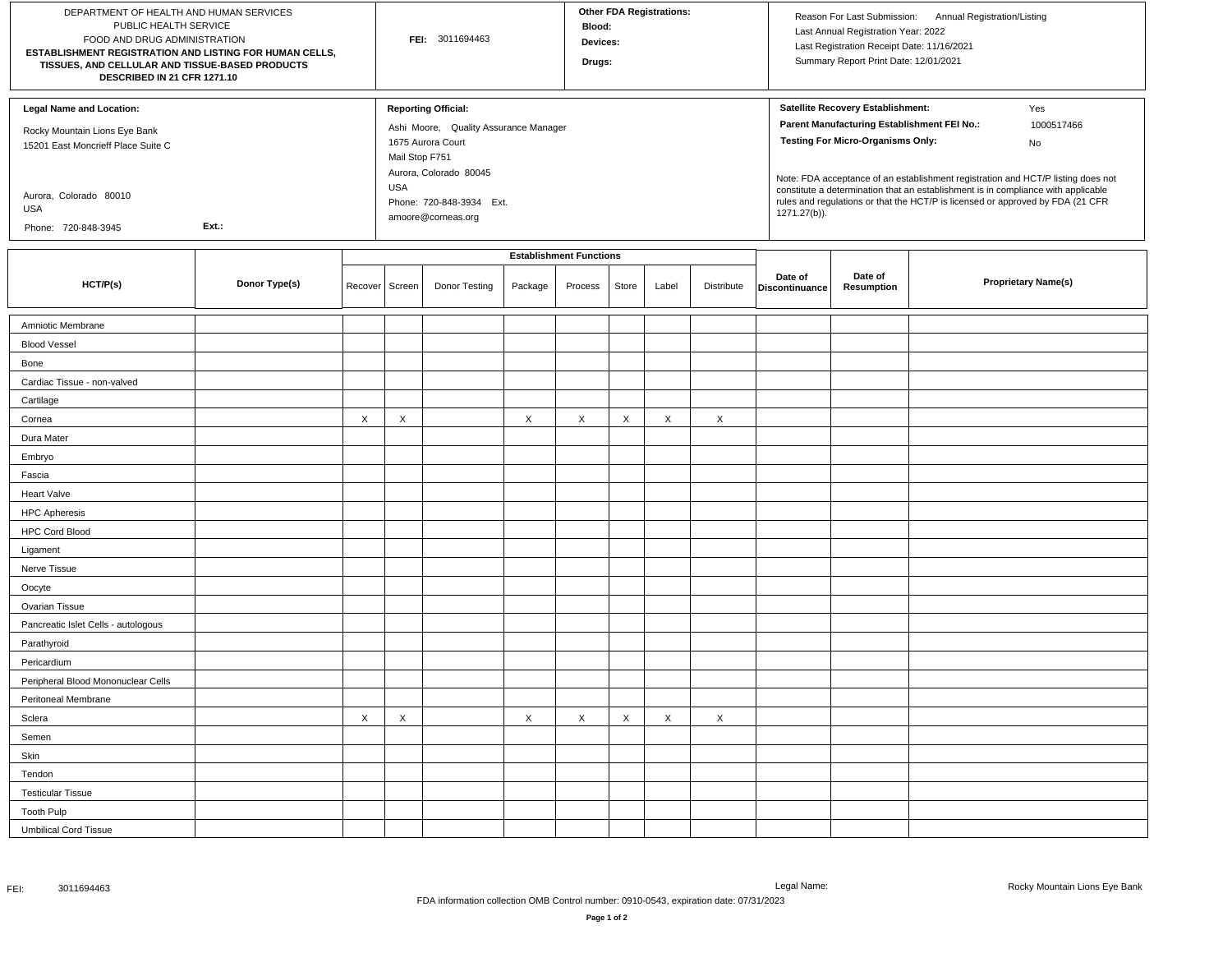| DEPARTMENT OF HEALTH AND HUMAN SERVICES<br>PUBLIC HEALTH SERVICE<br>FOOD AND DRUG ADMINISTRATION<br>ESTABLISHMENT REGISTRATION AND LISTING FOR HUMAN CELLS,<br>TISSUES, AND CELLULAR AND TISSUE-BASED PRODUCTS<br>DESCRIBED IN 21 CFR 1271.10 |               |         |                              | FEI: 3011694463                                                                                                                                |         | Blood:<br>Devices:<br>Drugs:   |       | <b>Other FDA Registrations:</b> |                           |                           | Last Annual Registration Year: 2022<br>Last Registration Receipt Date: 11/16/2021<br>Summary Report Print Date: 12/01/2021   | Reason For Last Submission: Annual Registration/Listing |                                                                                                                                                                                                                                                                                    |
|-----------------------------------------------------------------------------------------------------------------------------------------------------------------------------------------------------------------------------------------------|---------------|---------|------------------------------|------------------------------------------------------------------------------------------------------------------------------------------------|---------|--------------------------------|-------|---------------------------------|---------------------------|---------------------------|------------------------------------------------------------------------------------------------------------------------------|---------------------------------------------------------|------------------------------------------------------------------------------------------------------------------------------------------------------------------------------------------------------------------------------------------------------------------------------------|
| <b>Legal Name and Location:</b><br>Rocky Mountain Lions Eye Bank<br>15201 East Moncrieff Place Suite C<br>Aurora, Colorado 80010<br>USA                                                                                                       |               |         | Mail Stop F751<br><b>USA</b> | <b>Reporting Official:</b><br>Ashi Moore, Quality Assurance Manager<br>1675 Aurora Court<br>Aurora, Colorado 80045<br>Phone: 720-848-3934 Ext. |         |                                |       |                                 |                           | 1271.27(b)).              | Satellite Recovery Establishment:<br>Parent Manufacturing Establishment FEI No.:<br><b>Testing For Micro-Organisms Only:</b> |                                                         | Yes<br>1000517466<br>No<br>Note: FDA acceptance of an establishment registration and HCT/P listing does not<br>constitute a determination that an establishment is in compliance with applicable<br>rules and regulations or that the HCT/P is licensed or approved by FDA (21 CFR |
| Phone: 720-848-3945                                                                                                                                                                                                                           | Ext.:         |         |                              | amoore@corneas.org                                                                                                                             |         |                                |       |                                 |                           |                           |                                                                                                                              |                                                         |                                                                                                                                                                                                                                                                                    |
|                                                                                                                                                                                                                                               |               |         |                              |                                                                                                                                                |         | <b>Establishment Functions</b> |       |                                 |                           |                           |                                                                                                                              |                                                         |                                                                                                                                                                                                                                                                                    |
| HCT/P(s)                                                                                                                                                                                                                                      | Donor Type(s) | Recover | Screen                       | Donor Testing                                                                                                                                  | Package | Process                        | Store | Label                           | Distribute                | Date of<br>Discontinuance | Date of<br>Resumption                                                                                                        |                                                         | <b>Proprietary Name(s)</b>                                                                                                                                                                                                                                                         |
| Amniotic Membrane                                                                                                                                                                                                                             |               |         |                              |                                                                                                                                                |         |                                |       |                                 |                           |                           |                                                                                                                              |                                                         |                                                                                                                                                                                                                                                                                    |
| <b>Blood Vessel</b>                                                                                                                                                                                                                           |               |         |                              |                                                                                                                                                |         |                                |       |                                 |                           |                           |                                                                                                                              |                                                         |                                                                                                                                                                                                                                                                                    |
| Bone                                                                                                                                                                                                                                          |               |         |                              |                                                                                                                                                |         |                                |       |                                 |                           |                           |                                                                                                                              |                                                         |                                                                                                                                                                                                                                                                                    |
| Cardiac Tissue - non-valved                                                                                                                                                                                                                   |               |         |                              |                                                                                                                                                |         |                                |       |                                 |                           |                           |                                                                                                                              |                                                         |                                                                                                                                                                                                                                                                                    |
| Cartilage                                                                                                                                                                                                                                     |               |         |                              |                                                                                                                                                |         |                                |       |                                 |                           |                           |                                                                                                                              |                                                         |                                                                                                                                                                                                                                                                                    |
| Cornea                                                                                                                                                                                                                                        |               | X       | $\times$                     |                                                                                                                                                | X       | X                              | X     | X                               | $\boldsymbol{\mathsf{X}}$ |                           |                                                                                                                              |                                                         |                                                                                                                                                                                                                                                                                    |
| Dura Mater                                                                                                                                                                                                                                    |               |         |                              |                                                                                                                                                |         |                                |       |                                 |                           |                           |                                                                                                                              |                                                         |                                                                                                                                                                                                                                                                                    |
| Embryo                                                                                                                                                                                                                                        |               |         |                              |                                                                                                                                                |         |                                |       |                                 |                           |                           |                                                                                                                              |                                                         |                                                                                                                                                                                                                                                                                    |
| Fascia                                                                                                                                                                                                                                        |               |         |                              |                                                                                                                                                |         |                                |       |                                 |                           |                           |                                                                                                                              |                                                         |                                                                                                                                                                                                                                                                                    |
| <b>Heart Valve</b>                                                                                                                                                                                                                            |               |         |                              |                                                                                                                                                |         |                                |       |                                 |                           |                           |                                                                                                                              |                                                         |                                                                                                                                                                                                                                                                                    |
| <b>HPC Apheresis</b>                                                                                                                                                                                                                          |               |         |                              |                                                                                                                                                |         |                                |       |                                 |                           |                           |                                                                                                                              |                                                         |                                                                                                                                                                                                                                                                                    |
| <b>HPC Cord Blood</b>                                                                                                                                                                                                                         |               |         |                              |                                                                                                                                                |         |                                |       |                                 |                           |                           |                                                                                                                              |                                                         |                                                                                                                                                                                                                                                                                    |
| Ligament                                                                                                                                                                                                                                      |               |         |                              |                                                                                                                                                |         |                                |       |                                 |                           |                           |                                                                                                                              |                                                         |                                                                                                                                                                                                                                                                                    |
| Nerve Tissue                                                                                                                                                                                                                                  |               |         |                              |                                                                                                                                                |         |                                |       |                                 |                           |                           |                                                                                                                              |                                                         |                                                                                                                                                                                                                                                                                    |
| Oocyte                                                                                                                                                                                                                                        |               |         |                              |                                                                                                                                                |         |                                |       |                                 |                           |                           |                                                                                                                              |                                                         |                                                                                                                                                                                                                                                                                    |
| Ovarian Tissue                                                                                                                                                                                                                                |               |         |                              |                                                                                                                                                |         |                                |       |                                 |                           |                           |                                                                                                                              |                                                         |                                                                                                                                                                                                                                                                                    |
| Pancreatic Islet Cells - autologous                                                                                                                                                                                                           |               |         |                              |                                                                                                                                                |         |                                |       |                                 |                           |                           |                                                                                                                              |                                                         |                                                                                                                                                                                                                                                                                    |
| Parathyroid                                                                                                                                                                                                                                   |               |         |                              |                                                                                                                                                |         |                                |       |                                 |                           |                           |                                                                                                                              |                                                         |                                                                                                                                                                                                                                                                                    |
| Pericardium                                                                                                                                                                                                                                   |               |         |                              |                                                                                                                                                |         |                                |       |                                 |                           |                           |                                                                                                                              |                                                         |                                                                                                                                                                                                                                                                                    |
| Peripheral Blood Mononuclear Cells                                                                                                                                                                                                            |               |         |                              |                                                                                                                                                |         |                                |       |                                 |                           |                           |                                                                                                                              |                                                         |                                                                                                                                                                                                                                                                                    |
| Peritoneal Membrane                                                                                                                                                                                                                           |               |         |                              |                                                                                                                                                |         |                                |       |                                 |                           |                           |                                                                                                                              |                                                         |                                                                                                                                                                                                                                                                                    |
| Sclera                                                                                                                                                                                                                                        |               | X       | X                            |                                                                                                                                                | X       | X                              | Χ     | Χ                               | X                         |                           |                                                                                                                              |                                                         |                                                                                                                                                                                                                                                                                    |
| Semen                                                                                                                                                                                                                                         |               |         |                              |                                                                                                                                                |         |                                |       |                                 |                           |                           |                                                                                                                              |                                                         |                                                                                                                                                                                                                                                                                    |
| Skin                                                                                                                                                                                                                                          |               |         |                              |                                                                                                                                                |         |                                |       |                                 |                           |                           |                                                                                                                              |                                                         |                                                                                                                                                                                                                                                                                    |
| Tendon                                                                                                                                                                                                                                        |               |         |                              |                                                                                                                                                |         |                                |       |                                 |                           |                           |                                                                                                                              |                                                         |                                                                                                                                                                                                                                                                                    |
| <b>Testicular Tissue</b>                                                                                                                                                                                                                      |               |         |                              |                                                                                                                                                |         |                                |       |                                 |                           |                           |                                                                                                                              |                                                         |                                                                                                                                                                                                                                                                                    |
| <b>Tooth Pulp</b>                                                                                                                                                                                                                             |               |         |                              |                                                                                                                                                |         |                                |       |                                 |                           |                           |                                                                                                                              |                                                         |                                                                                                                                                                                                                                                                                    |
| <b>Umbilical Cord Tissue</b>                                                                                                                                                                                                                  |               |         |                              |                                                                                                                                                |         |                                |       |                                 |                           |                           |                                                                                                                              |                                                         |                                                                                                                                                                                                                                                                                    |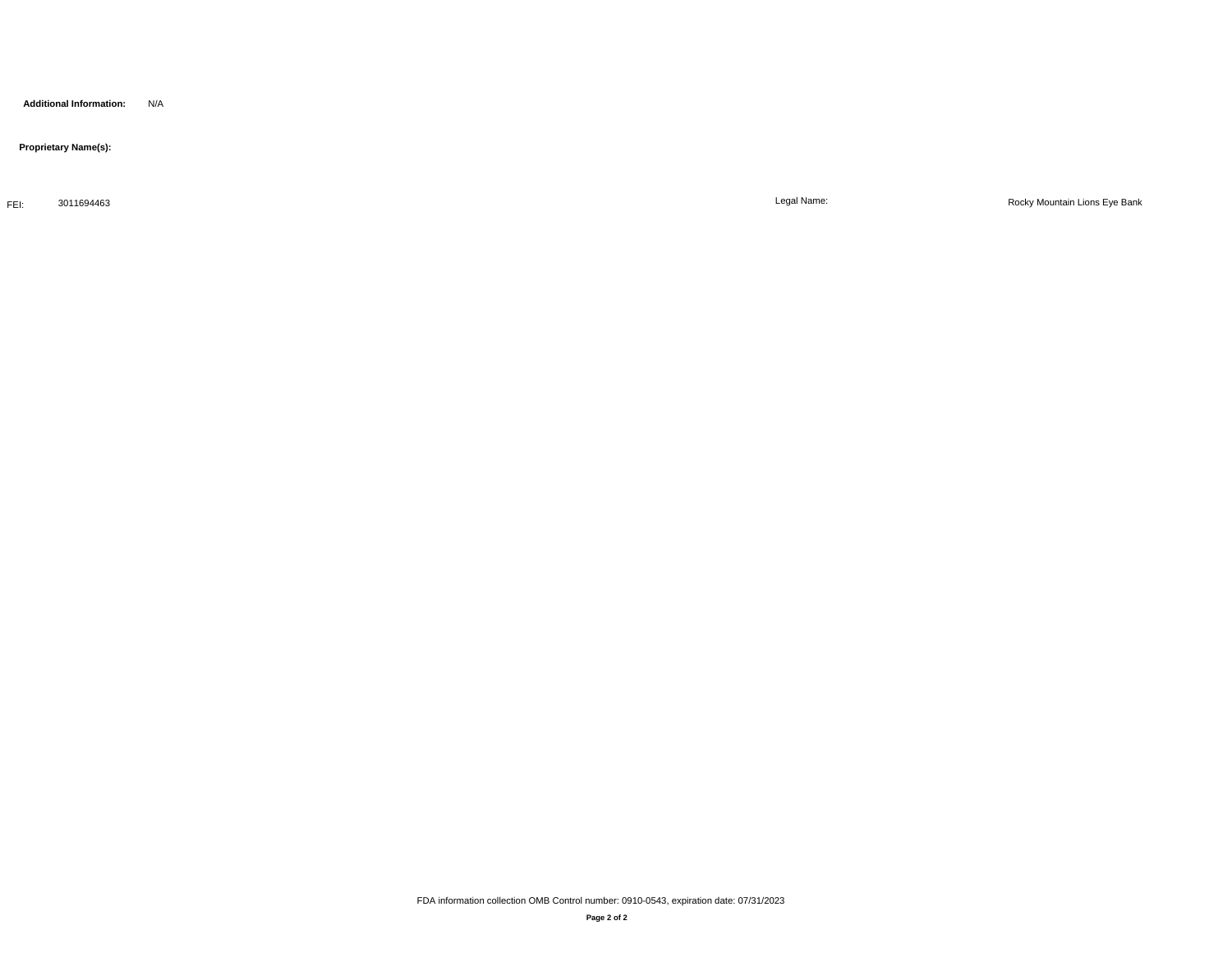**Additional Information:** N/A

 **Proprietary Name(s):**

FEI: 3011694463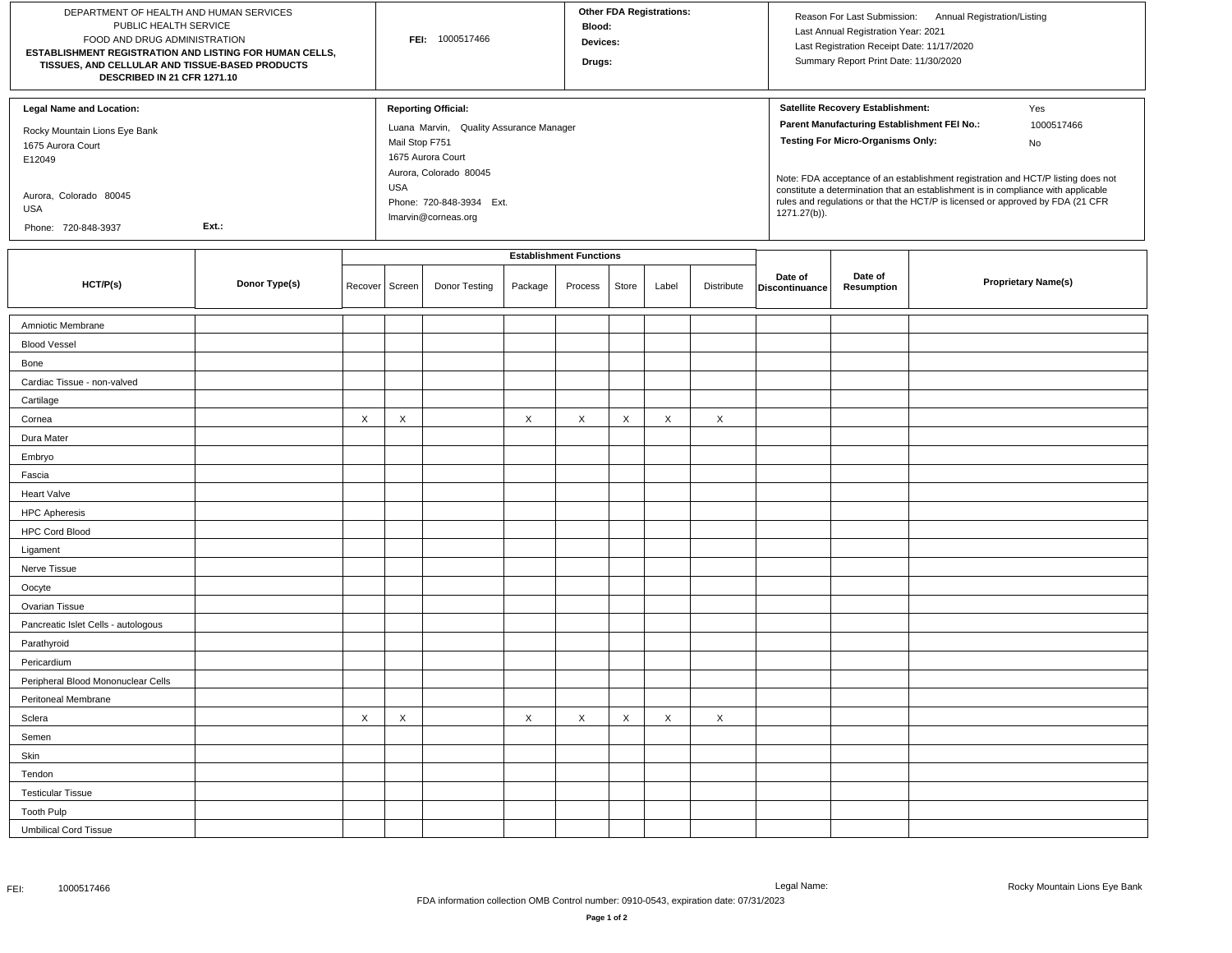| DEPARTMENT OF HEALTH AND HUMAN SERVICES<br>PUBLIC HEALTH SERVICE<br>FOOD AND DRUG ADMINISTRATION<br>ESTABLISHMENT REGISTRATION AND LISTING FOR HUMAN CELLS,<br>TISSUES, AND CELLULAR AND TISSUE-BASED PRODUCTS<br>DESCRIBED IN 21 CFR 1271.10 |               |         |                              | FEI: 1000517466                                                                                                                                                         |         | Blood:<br>Devices:<br>Drugs:   |       | <b>Other FDA Registrations:</b> |            |                           | Last Annual Registration Year: 2021<br>Last Registration Receipt Date: 11/17/2020<br>Summary Report Print Date: 11/30/2020   | Reason For Last Submission: Annual Registration/Listing                                                                                                                                                                                                                            |
|-----------------------------------------------------------------------------------------------------------------------------------------------------------------------------------------------------------------------------------------------|---------------|---------|------------------------------|-------------------------------------------------------------------------------------------------------------------------------------------------------------------------|---------|--------------------------------|-------|---------------------------------|------------|---------------------------|------------------------------------------------------------------------------------------------------------------------------|------------------------------------------------------------------------------------------------------------------------------------------------------------------------------------------------------------------------------------------------------------------------------------|
| <b>Legal Name and Location:</b><br>Rocky Mountain Lions Eye Bank<br>1675 Aurora Court<br>E12049<br>Aurora, Colorado 80045<br>USA<br>Phone: 720-848-3937                                                                                       | Ext.:         |         | Mail Stop F751<br><b>USA</b> | <b>Reporting Official:</b><br>Luana Marvin, Quality Assurance Manager<br>1675 Aurora Court<br>Aurora, Colorado 80045<br>Phone: 720-848-3934 Ext.<br>Imarvin@corneas.org |         |                                |       |                                 |            | 1271.27(b)).              | Satellite Recovery Establishment:<br>Parent Manufacturing Establishment FEI No.:<br><b>Testing For Micro-Organisms Only:</b> | Yes<br>1000517466<br>No<br>Note: FDA acceptance of an establishment registration and HCT/P listing does not<br>constitute a determination that an establishment is in compliance with applicable<br>rules and regulations or that the HCT/P is licensed or approved by FDA (21 CFR |
|                                                                                                                                                                                                                                               |               |         |                              |                                                                                                                                                                         |         | <b>Establishment Functions</b> |       |                                 |            |                           |                                                                                                                              |                                                                                                                                                                                                                                                                                    |
| HCT/P(s)                                                                                                                                                                                                                                      | Donor Type(s) | Recover | Screen                       | Donor Testing                                                                                                                                                           | Package | Process                        | Store | Label                           | Distribute | Date of<br>Discontinuance | Date of<br>Resumption                                                                                                        | <b>Proprietary Name(s)</b>                                                                                                                                                                                                                                                         |
| Amniotic Membrane                                                                                                                                                                                                                             |               |         |                              |                                                                                                                                                                         |         |                                |       |                                 |            |                           |                                                                                                                              |                                                                                                                                                                                                                                                                                    |
| <b>Blood Vessel</b>                                                                                                                                                                                                                           |               |         |                              |                                                                                                                                                                         |         |                                |       |                                 |            |                           |                                                                                                                              |                                                                                                                                                                                                                                                                                    |
| Bone                                                                                                                                                                                                                                          |               |         |                              |                                                                                                                                                                         |         |                                |       |                                 |            |                           |                                                                                                                              |                                                                                                                                                                                                                                                                                    |
| Cardiac Tissue - non-valved                                                                                                                                                                                                                   |               |         |                              |                                                                                                                                                                         |         |                                |       |                                 |            |                           |                                                                                                                              |                                                                                                                                                                                                                                                                                    |
| Cartilage                                                                                                                                                                                                                                     |               |         |                              |                                                                                                                                                                         |         |                                |       |                                 |            |                           |                                                                                                                              |                                                                                                                                                                                                                                                                                    |
| Cornea                                                                                                                                                                                                                                        |               | X       | X                            |                                                                                                                                                                         | X       | X                              | X     | X                               | $\times$   |                           |                                                                                                                              |                                                                                                                                                                                                                                                                                    |
| Dura Mater                                                                                                                                                                                                                                    |               |         |                              |                                                                                                                                                                         |         |                                |       |                                 |            |                           |                                                                                                                              |                                                                                                                                                                                                                                                                                    |
| Embryo                                                                                                                                                                                                                                        |               |         |                              |                                                                                                                                                                         |         |                                |       |                                 |            |                           |                                                                                                                              |                                                                                                                                                                                                                                                                                    |
| Fascia                                                                                                                                                                                                                                        |               |         |                              |                                                                                                                                                                         |         |                                |       |                                 |            |                           |                                                                                                                              |                                                                                                                                                                                                                                                                                    |
| <b>Heart Valve</b>                                                                                                                                                                                                                            |               |         |                              |                                                                                                                                                                         |         |                                |       |                                 |            |                           |                                                                                                                              |                                                                                                                                                                                                                                                                                    |
| <b>HPC Apheresis</b>                                                                                                                                                                                                                          |               |         |                              |                                                                                                                                                                         |         |                                |       |                                 |            |                           |                                                                                                                              |                                                                                                                                                                                                                                                                                    |
| <b>HPC Cord Blood</b>                                                                                                                                                                                                                         |               |         |                              |                                                                                                                                                                         |         |                                |       |                                 |            |                           |                                                                                                                              |                                                                                                                                                                                                                                                                                    |
| Ligament                                                                                                                                                                                                                                      |               |         |                              |                                                                                                                                                                         |         |                                |       |                                 |            |                           |                                                                                                                              |                                                                                                                                                                                                                                                                                    |
| Nerve Tissue                                                                                                                                                                                                                                  |               |         |                              |                                                                                                                                                                         |         |                                |       |                                 |            |                           |                                                                                                                              |                                                                                                                                                                                                                                                                                    |
| Oocyte                                                                                                                                                                                                                                        |               |         |                              |                                                                                                                                                                         |         |                                |       |                                 |            |                           |                                                                                                                              |                                                                                                                                                                                                                                                                                    |
| Ovarian Tissue                                                                                                                                                                                                                                |               |         |                              |                                                                                                                                                                         |         |                                |       |                                 |            |                           |                                                                                                                              |                                                                                                                                                                                                                                                                                    |
| Pancreatic Islet Cells - autologous                                                                                                                                                                                                           |               |         |                              |                                                                                                                                                                         |         |                                |       |                                 |            |                           |                                                                                                                              |                                                                                                                                                                                                                                                                                    |
| Parathyroid                                                                                                                                                                                                                                   |               |         |                              |                                                                                                                                                                         |         |                                |       |                                 |            |                           |                                                                                                                              |                                                                                                                                                                                                                                                                                    |
| Pericardium                                                                                                                                                                                                                                   |               |         |                              |                                                                                                                                                                         |         |                                |       |                                 |            |                           |                                                                                                                              |                                                                                                                                                                                                                                                                                    |
| Peripheral Blood Mononuclear Cells                                                                                                                                                                                                            |               |         |                              |                                                                                                                                                                         |         |                                |       |                                 |            |                           |                                                                                                                              |                                                                                                                                                                                                                                                                                    |
| Peritoneal Membrane                                                                                                                                                                                                                           |               |         |                              |                                                                                                                                                                         |         |                                |       |                                 |            |                           |                                                                                                                              |                                                                                                                                                                                                                                                                                    |
| Sclera                                                                                                                                                                                                                                        |               | X       | $\times$                     |                                                                                                                                                                         | X       | $\boldsymbol{\mathsf{X}}$      | X     | X                               | $\times$   |                           |                                                                                                                              |                                                                                                                                                                                                                                                                                    |
| Semen                                                                                                                                                                                                                                         |               |         |                              |                                                                                                                                                                         |         |                                |       |                                 |            |                           |                                                                                                                              |                                                                                                                                                                                                                                                                                    |
| Skin                                                                                                                                                                                                                                          |               |         |                              |                                                                                                                                                                         |         |                                |       |                                 |            |                           |                                                                                                                              |                                                                                                                                                                                                                                                                                    |
| Tendon                                                                                                                                                                                                                                        |               |         |                              |                                                                                                                                                                         |         |                                |       |                                 |            |                           |                                                                                                                              |                                                                                                                                                                                                                                                                                    |
| <b>Testicular Tissue</b>                                                                                                                                                                                                                      |               |         |                              |                                                                                                                                                                         |         |                                |       |                                 |            |                           |                                                                                                                              |                                                                                                                                                                                                                                                                                    |
| <b>Tooth Pulp</b>                                                                                                                                                                                                                             |               |         |                              |                                                                                                                                                                         |         |                                |       |                                 |            |                           |                                                                                                                              |                                                                                                                                                                                                                                                                                    |
| <b>Umbilical Cord Tissue</b>                                                                                                                                                                                                                  |               |         |                              |                                                                                                                                                                         |         |                                |       |                                 |            |                           |                                                                                                                              |                                                                                                                                                                                                                                                                                    |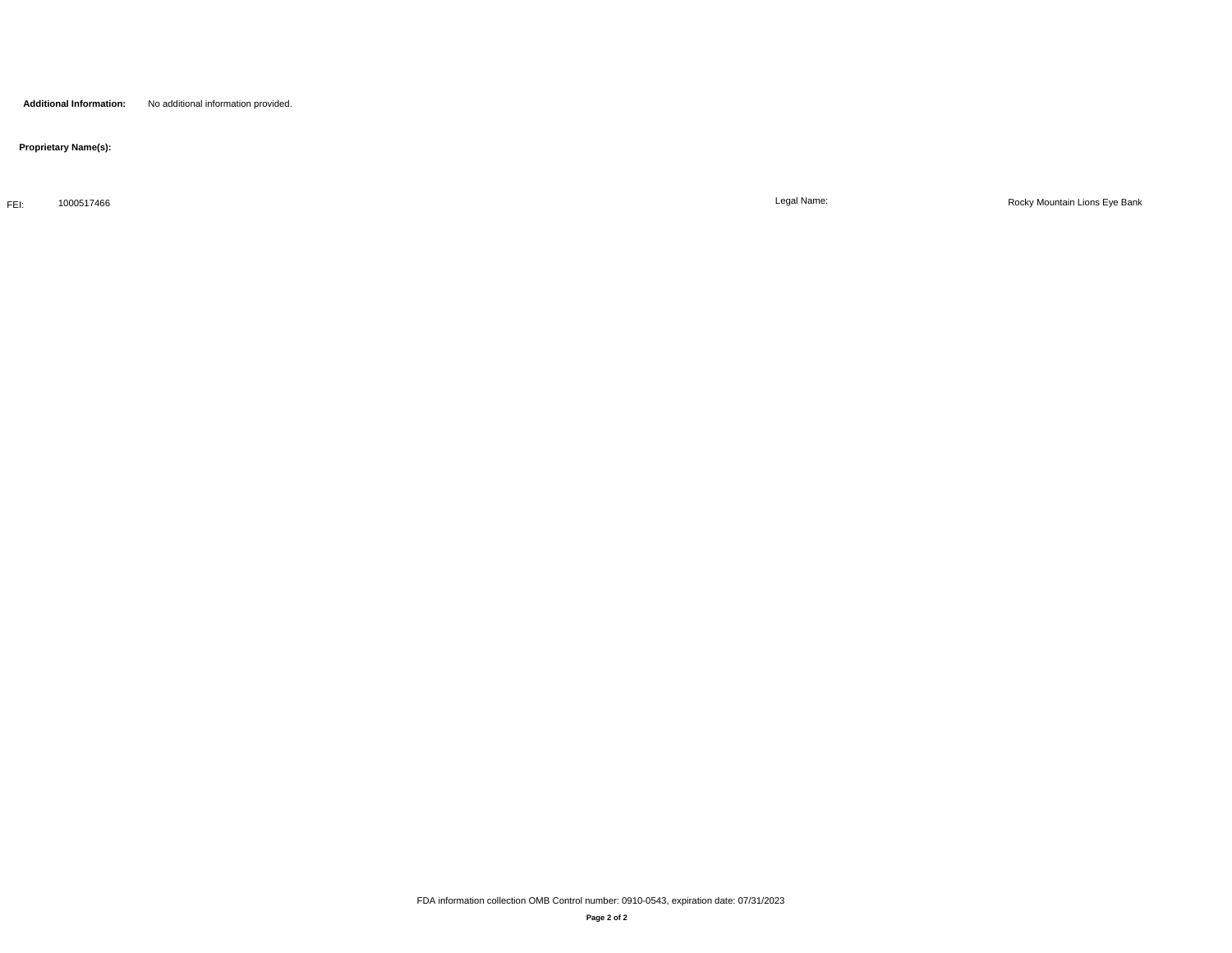## **Proprietary Name(s):**

FEI: 1000517466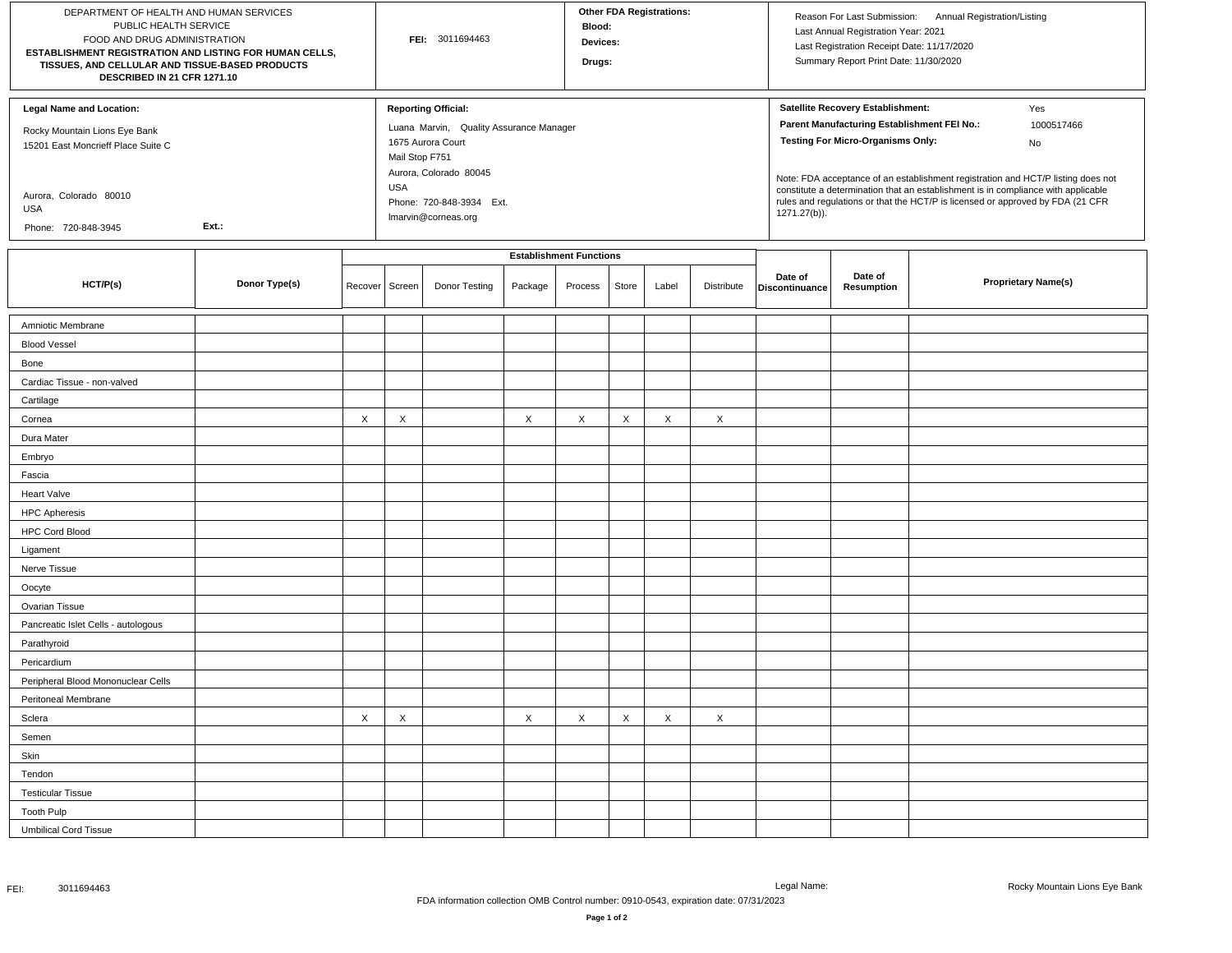| DEPARTMENT OF HEALTH AND HUMAN SERVICES<br>PUBLIC HEALTH SERVICE<br>FOOD AND DRUG ADMINISTRATION<br>ESTABLISHMENT REGISTRATION AND LISTING FOR HUMAN CELLS,<br>TISSUES, AND CELLULAR AND TISSUE-BASED PRODUCTS<br>DESCRIBED IN 21 CFR 1271.10 |               |         |                              | FEI: 3011694463                                                                                                                                                         |         | Blood:<br>Devices:<br>Drugs:   |       | <b>Other FDA Registrations:</b> |            |                           | Last Annual Registration Year: 2021<br>Last Registration Receipt Date: 11/17/2020<br>Summary Report Print Date: 11/30/2020   | Reason For Last Submission: Annual Registration/Listing                                                                                                                                                                                                                            |
|-----------------------------------------------------------------------------------------------------------------------------------------------------------------------------------------------------------------------------------------------|---------------|---------|------------------------------|-------------------------------------------------------------------------------------------------------------------------------------------------------------------------|---------|--------------------------------|-------|---------------------------------|------------|---------------------------|------------------------------------------------------------------------------------------------------------------------------|------------------------------------------------------------------------------------------------------------------------------------------------------------------------------------------------------------------------------------------------------------------------------------|
| <b>Legal Name and Location:</b><br>Rocky Mountain Lions Eye Bank<br>15201 East Moncrieff Place Suite C<br>Aurora, Colorado 80010<br>USA<br>Phone: 720-848-3945                                                                                | Ext.:         |         | Mail Stop F751<br><b>USA</b> | <b>Reporting Official:</b><br>Luana Marvin, Quality Assurance Manager<br>1675 Aurora Court<br>Aurora, Colorado 80045<br>Phone: 720-848-3934 Ext.<br>Imarvin@corneas.org |         |                                |       |                                 |            | 1271.27(b)).              | Satellite Recovery Establishment:<br>Parent Manufacturing Establishment FEI No.:<br><b>Testing For Micro-Organisms Only:</b> | Yes<br>1000517466<br>No<br>Note: FDA acceptance of an establishment registration and HCT/P listing does not<br>constitute a determination that an establishment is in compliance with applicable<br>rules and regulations or that the HCT/P is licensed or approved by FDA (21 CFR |
|                                                                                                                                                                                                                                               |               |         |                              |                                                                                                                                                                         |         | <b>Establishment Functions</b> |       |                                 |            |                           |                                                                                                                              |                                                                                                                                                                                                                                                                                    |
| HCT/P(s)                                                                                                                                                                                                                                      | Donor Type(s) | Recover | Screen                       | Donor Testing                                                                                                                                                           | Package | Process                        | Store | Label                           | Distribute | Date of<br>Discontinuance | Date of<br>Resumption                                                                                                        | <b>Proprietary Name(s)</b>                                                                                                                                                                                                                                                         |
| Amniotic Membrane                                                                                                                                                                                                                             |               |         |                              |                                                                                                                                                                         |         |                                |       |                                 |            |                           |                                                                                                                              |                                                                                                                                                                                                                                                                                    |
| <b>Blood Vessel</b>                                                                                                                                                                                                                           |               |         |                              |                                                                                                                                                                         |         |                                |       |                                 |            |                           |                                                                                                                              |                                                                                                                                                                                                                                                                                    |
| Bone                                                                                                                                                                                                                                          |               |         |                              |                                                                                                                                                                         |         |                                |       |                                 |            |                           |                                                                                                                              |                                                                                                                                                                                                                                                                                    |
| Cardiac Tissue - non-valved                                                                                                                                                                                                                   |               |         |                              |                                                                                                                                                                         |         |                                |       |                                 |            |                           |                                                                                                                              |                                                                                                                                                                                                                                                                                    |
| Cartilage                                                                                                                                                                                                                                     |               |         |                              |                                                                                                                                                                         |         |                                |       |                                 |            |                           |                                                                                                                              |                                                                                                                                                                                                                                                                                    |
| Cornea                                                                                                                                                                                                                                        |               | X       | X                            |                                                                                                                                                                         | X       | X                              | X     | X                               | X          |                           |                                                                                                                              |                                                                                                                                                                                                                                                                                    |
| Dura Mater                                                                                                                                                                                                                                    |               |         |                              |                                                                                                                                                                         |         |                                |       |                                 |            |                           |                                                                                                                              |                                                                                                                                                                                                                                                                                    |
| Embryo                                                                                                                                                                                                                                        |               |         |                              |                                                                                                                                                                         |         |                                |       |                                 |            |                           |                                                                                                                              |                                                                                                                                                                                                                                                                                    |
| Fascia                                                                                                                                                                                                                                        |               |         |                              |                                                                                                                                                                         |         |                                |       |                                 |            |                           |                                                                                                                              |                                                                                                                                                                                                                                                                                    |
| <b>Heart Valve</b>                                                                                                                                                                                                                            |               |         |                              |                                                                                                                                                                         |         |                                |       |                                 |            |                           |                                                                                                                              |                                                                                                                                                                                                                                                                                    |
| <b>HPC Apheresis</b>                                                                                                                                                                                                                          |               |         |                              |                                                                                                                                                                         |         |                                |       |                                 |            |                           |                                                                                                                              |                                                                                                                                                                                                                                                                                    |
| <b>HPC Cord Blood</b>                                                                                                                                                                                                                         |               |         |                              |                                                                                                                                                                         |         |                                |       |                                 |            |                           |                                                                                                                              |                                                                                                                                                                                                                                                                                    |
| Ligament                                                                                                                                                                                                                                      |               |         |                              |                                                                                                                                                                         |         |                                |       |                                 |            |                           |                                                                                                                              |                                                                                                                                                                                                                                                                                    |
| Nerve Tissue                                                                                                                                                                                                                                  |               |         |                              |                                                                                                                                                                         |         |                                |       |                                 |            |                           |                                                                                                                              |                                                                                                                                                                                                                                                                                    |
| Oocyte                                                                                                                                                                                                                                        |               |         |                              |                                                                                                                                                                         |         |                                |       |                                 |            |                           |                                                                                                                              |                                                                                                                                                                                                                                                                                    |
| Ovarian Tissue                                                                                                                                                                                                                                |               |         |                              |                                                                                                                                                                         |         |                                |       |                                 |            |                           |                                                                                                                              |                                                                                                                                                                                                                                                                                    |
| Pancreatic Islet Cells - autologous                                                                                                                                                                                                           |               |         |                              |                                                                                                                                                                         |         |                                |       |                                 |            |                           |                                                                                                                              |                                                                                                                                                                                                                                                                                    |
| Parathyroid                                                                                                                                                                                                                                   |               |         |                              |                                                                                                                                                                         |         |                                |       |                                 |            |                           |                                                                                                                              |                                                                                                                                                                                                                                                                                    |
| Pericardium                                                                                                                                                                                                                                   |               |         |                              |                                                                                                                                                                         |         |                                |       |                                 |            |                           |                                                                                                                              |                                                                                                                                                                                                                                                                                    |
| Peripheral Blood Mononuclear Cells                                                                                                                                                                                                            |               |         |                              |                                                                                                                                                                         |         |                                |       |                                 |            |                           |                                                                                                                              |                                                                                                                                                                                                                                                                                    |
| Peritoneal Membrane                                                                                                                                                                                                                           |               |         |                              |                                                                                                                                                                         |         |                                |       |                                 |            |                           |                                                                                                                              |                                                                                                                                                                                                                                                                                    |
| Sclera                                                                                                                                                                                                                                        |               | X       | $\times$                     |                                                                                                                                                                         | X       | X                              | Χ     | Χ                               | X          |                           |                                                                                                                              |                                                                                                                                                                                                                                                                                    |
| Semen                                                                                                                                                                                                                                         |               |         |                              |                                                                                                                                                                         |         |                                |       |                                 |            |                           |                                                                                                                              |                                                                                                                                                                                                                                                                                    |
| Skin                                                                                                                                                                                                                                          |               |         |                              |                                                                                                                                                                         |         |                                |       |                                 |            |                           |                                                                                                                              |                                                                                                                                                                                                                                                                                    |
| Tendon                                                                                                                                                                                                                                        |               |         |                              |                                                                                                                                                                         |         |                                |       |                                 |            |                           |                                                                                                                              |                                                                                                                                                                                                                                                                                    |
| <b>Testicular Tissue</b>                                                                                                                                                                                                                      |               |         |                              |                                                                                                                                                                         |         |                                |       |                                 |            |                           |                                                                                                                              |                                                                                                                                                                                                                                                                                    |
| <b>Tooth Pulp</b>                                                                                                                                                                                                                             |               |         |                              |                                                                                                                                                                         |         |                                |       |                                 |            |                           |                                                                                                                              |                                                                                                                                                                                                                                                                                    |
| <b>Umbilical Cord Tissue</b>                                                                                                                                                                                                                  |               |         |                              |                                                                                                                                                                         |         |                                |       |                                 |            |                           |                                                                                                                              |                                                                                                                                                                                                                                                                                    |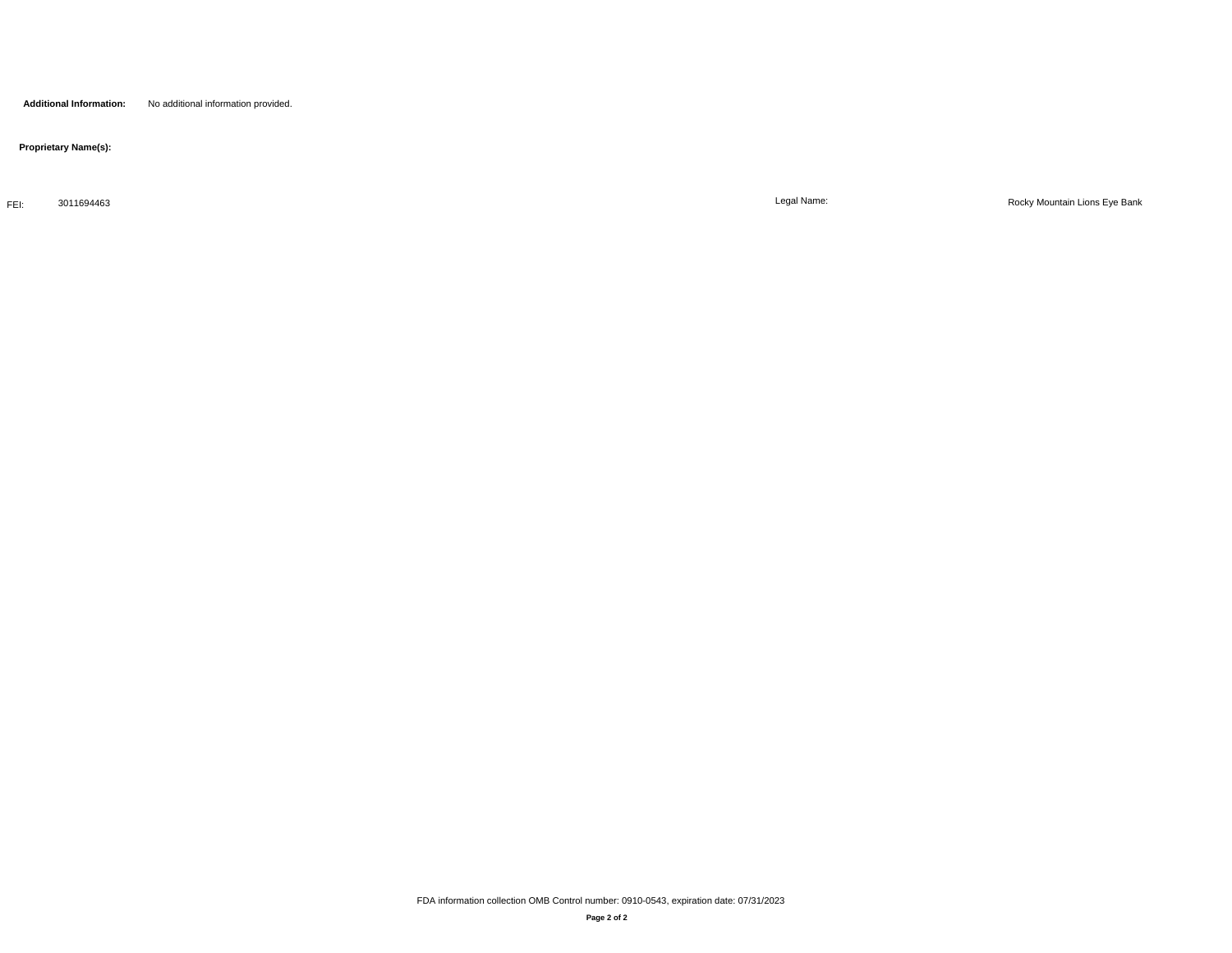**Proprietary Name(s):**

FEI: 3011694463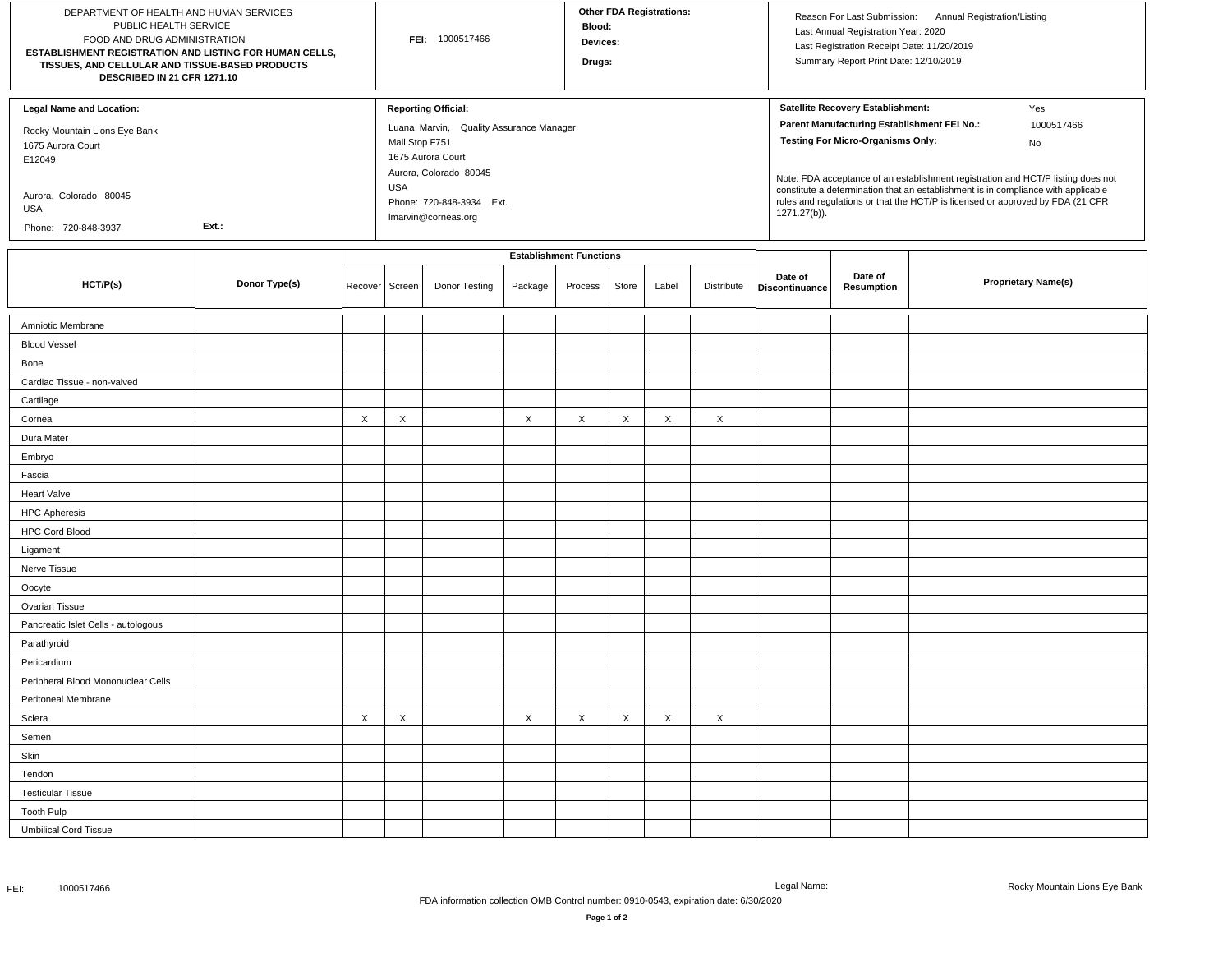| DEPARTMENT OF HEALTH AND HUMAN SERVICES<br>PUBLIC HEALTH SERVICE<br>FOOD AND DRUG ADMINISTRATION<br>ESTABLISHMENT REGISTRATION AND LISTING FOR HUMAN CELLS,<br>TISSUES, AND CELLULAR AND TISSUE-BASED PRODUCTS<br>DESCRIBED IN 21 CFR 1271.10 |               |         |                              | FEI: 1000517466                                                                                                      |         | <b>Blood:</b><br>Devices:<br>Drugs: |       | <b>Other FDA Registrations:</b> |            |                           | Last Annual Registration Year: 2020<br>Last Registration Receipt Date: 11/20/2019<br>Summary Report Print Date: 12/10/2019   | Reason For Last Submission: Annual Registration/Listing |                                                                                                                                                                                                  |
|-----------------------------------------------------------------------------------------------------------------------------------------------------------------------------------------------------------------------------------------------|---------------|---------|------------------------------|----------------------------------------------------------------------------------------------------------------------|---------|-------------------------------------|-------|---------------------------------|------------|---------------------------|------------------------------------------------------------------------------------------------------------------------------|---------------------------------------------------------|--------------------------------------------------------------------------------------------------------------------------------------------------------------------------------------------------|
| <b>Legal Name and Location:</b><br>Rocky Mountain Lions Eye Bank<br>1675 Aurora Court<br>E12049<br>Aurora, Colorado 80045                                                                                                                     |               |         | Mail Stop F751<br><b>USA</b> | <b>Reporting Official:</b><br>Luana Marvin, Quality Assurance Manager<br>1675 Aurora Court<br>Aurora, Colorado 80045 |         |                                     |       |                                 |            |                           | Satellite Recovery Establishment:<br>Parent Manufacturing Establishment FEI No.:<br><b>Testing For Micro-Organisms Only:</b> |                                                         | Yes<br>1000517466<br>No<br>Note: FDA acceptance of an establishment registration and HCT/P listing does not<br>constitute a determination that an establishment is in compliance with applicable |
| USA<br>Phone: 720-848-3937                                                                                                                                                                                                                    | Ext.:         |         |                              | Phone: 720-848-3934 Ext.<br>Imarvin@corneas.org                                                                      |         |                                     |       |                                 |            | 1271.27(b)).              |                                                                                                                              |                                                         | rules and regulations or that the HCT/P is licensed or approved by FDA (21 CFR                                                                                                                   |
|                                                                                                                                                                                                                                               |               |         |                              |                                                                                                                      |         | <b>Establishment Functions</b>      |       |                                 |            |                           |                                                                                                                              |                                                         |                                                                                                                                                                                                  |
| HCT/P(s)                                                                                                                                                                                                                                      | Donor Type(s) | Recover | Screen                       | Donor Testing                                                                                                        | Package | Process                             | Store | Label                           | Distribute | Date of<br>Discontinuance | Date of<br>Resumption                                                                                                        |                                                         | <b>Proprietary Name(s)</b>                                                                                                                                                                       |
| Amniotic Membrane                                                                                                                                                                                                                             |               |         |                              |                                                                                                                      |         |                                     |       |                                 |            |                           |                                                                                                                              |                                                         |                                                                                                                                                                                                  |
| <b>Blood Vessel</b>                                                                                                                                                                                                                           |               |         |                              |                                                                                                                      |         |                                     |       |                                 |            |                           |                                                                                                                              |                                                         |                                                                                                                                                                                                  |
| Bone                                                                                                                                                                                                                                          |               |         |                              |                                                                                                                      |         |                                     |       |                                 |            |                           |                                                                                                                              |                                                         |                                                                                                                                                                                                  |
| Cardiac Tissue - non-valved                                                                                                                                                                                                                   |               |         |                              |                                                                                                                      |         |                                     |       |                                 |            |                           |                                                                                                                              |                                                         |                                                                                                                                                                                                  |
| Cartilage                                                                                                                                                                                                                                     |               |         |                              |                                                                                                                      |         |                                     |       |                                 |            |                           |                                                                                                                              |                                                         |                                                                                                                                                                                                  |
| Cornea                                                                                                                                                                                                                                        |               | X       | X                            |                                                                                                                      | X       | X                                   | X     | X                               | X          |                           |                                                                                                                              |                                                         |                                                                                                                                                                                                  |
| Dura Mater                                                                                                                                                                                                                                    |               |         |                              |                                                                                                                      |         |                                     |       |                                 |            |                           |                                                                                                                              |                                                         |                                                                                                                                                                                                  |
| Embryo                                                                                                                                                                                                                                        |               |         |                              |                                                                                                                      |         |                                     |       |                                 |            |                           |                                                                                                                              |                                                         |                                                                                                                                                                                                  |
| Fascia                                                                                                                                                                                                                                        |               |         |                              |                                                                                                                      |         |                                     |       |                                 |            |                           |                                                                                                                              |                                                         |                                                                                                                                                                                                  |
| <b>Heart Valve</b>                                                                                                                                                                                                                            |               |         |                              |                                                                                                                      |         |                                     |       |                                 |            |                           |                                                                                                                              |                                                         |                                                                                                                                                                                                  |
| <b>HPC Apheresis</b>                                                                                                                                                                                                                          |               |         |                              |                                                                                                                      |         |                                     |       |                                 |            |                           |                                                                                                                              |                                                         |                                                                                                                                                                                                  |
| <b>HPC Cord Blood</b>                                                                                                                                                                                                                         |               |         |                              |                                                                                                                      |         |                                     |       |                                 |            |                           |                                                                                                                              |                                                         |                                                                                                                                                                                                  |
| Ligament                                                                                                                                                                                                                                      |               |         |                              |                                                                                                                      |         |                                     |       |                                 |            |                           |                                                                                                                              |                                                         |                                                                                                                                                                                                  |
| Nerve Tissue                                                                                                                                                                                                                                  |               |         |                              |                                                                                                                      |         |                                     |       |                                 |            |                           |                                                                                                                              |                                                         |                                                                                                                                                                                                  |
| Oocyte                                                                                                                                                                                                                                        |               |         |                              |                                                                                                                      |         |                                     |       |                                 |            |                           |                                                                                                                              |                                                         |                                                                                                                                                                                                  |
| Ovarian Tissue                                                                                                                                                                                                                                |               |         |                              |                                                                                                                      |         |                                     |       |                                 |            |                           |                                                                                                                              |                                                         |                                                                                                                                                                                                  |
| Pancreatic Islet Cells - autologous                                                                                                                                                                                                           |               |         |                              |                                                                                                                      |         |                                     |       |                                 |            |                           |                                                                                                                              |                                                         |                                                                                                                                                                                                  |
| Parathyroid                                                                                                                                                                                                                                   |               |         |                              |                                                                                                                      |         |                                     |       |                                 |            |                           |                                                                                                                              |                                                         |                                                                                                                                                                                                  |
| Pericardium                                                                                                                                                                                                                                   |               |         |                              |                                                                                                                      |         |                                     |       |                                 |            |                           |                                                                                                                              |                                                         |                                                                                                                                                                                                  |
| Peripheral Blood Mononuclear Cells                                                                                                                                                                                                            |               |         |                              |                                                                                                                      |         |                                     |       |                                 |            |                           |                                                                                                                              |                                                         |                                                                                                                                                                                                  |
| Peritoneal Membrane                                                                                                                                                                                                                           |               |         |                              |                                                                                                                      |         |                                     |       |                                 |            |                           |                                                                                                                              |                                                         |                                                                                                                                                                                                  |
| Sclera                                                                                                                                                                                                                                        |               | X       | X                            |                                                                                                                      | X       | X                                   | X     | Χ                               | X          |                           |                                                                                                                              |                                                         |                                                                                                                                                                                                  |
| Semen                                                                                                                                                                                                                                         |               |         |                              |                                                                                                                      |         |                                     |       |                                 |            |                           |                                                                                                                              |                                                         |                                                                                                                                                                                                  |
| Skin                                                                                                                                                                                                                                          |               |         |                              |                                                                                                                      |         |                                     |       |                                 |            |                           |                                                                                                                              |                                                         |                                                                                                                                                                                                  |
| Tendon                                                                                                                                                                                                                                        |               |         |                              |                                                                                                                      |         |                                     |       |                                 |            |                           |                                                                                                                              |                                                         |                                                                                                                                                                                                  |
| <b>Testicular Tissue</b>                                                                                                                                                                                                                      |               |         |                              |                                                                                                                      |         |                                     |       |                                 |            |                           |                                                                                                                              |                                                         |                                                                                                                                                                                                  |
| <b>Tooth Pulp</b>                                                                                                                                                                                                                             |               |         |                              |                                                                                                                      |         |                                     |       |                                 |            |                           |                                                                                                                              |                                                         |                                                                                                                                                                                                  |
| <b>Umbilical Cord Tissue</b>                                                                                                                                                                                                                  |               |         |                              |                                                                                                                      |         |                                     |       |                                 |            |                           |                                                                                                                              |                                                         |                                                                                                                                                                                                  |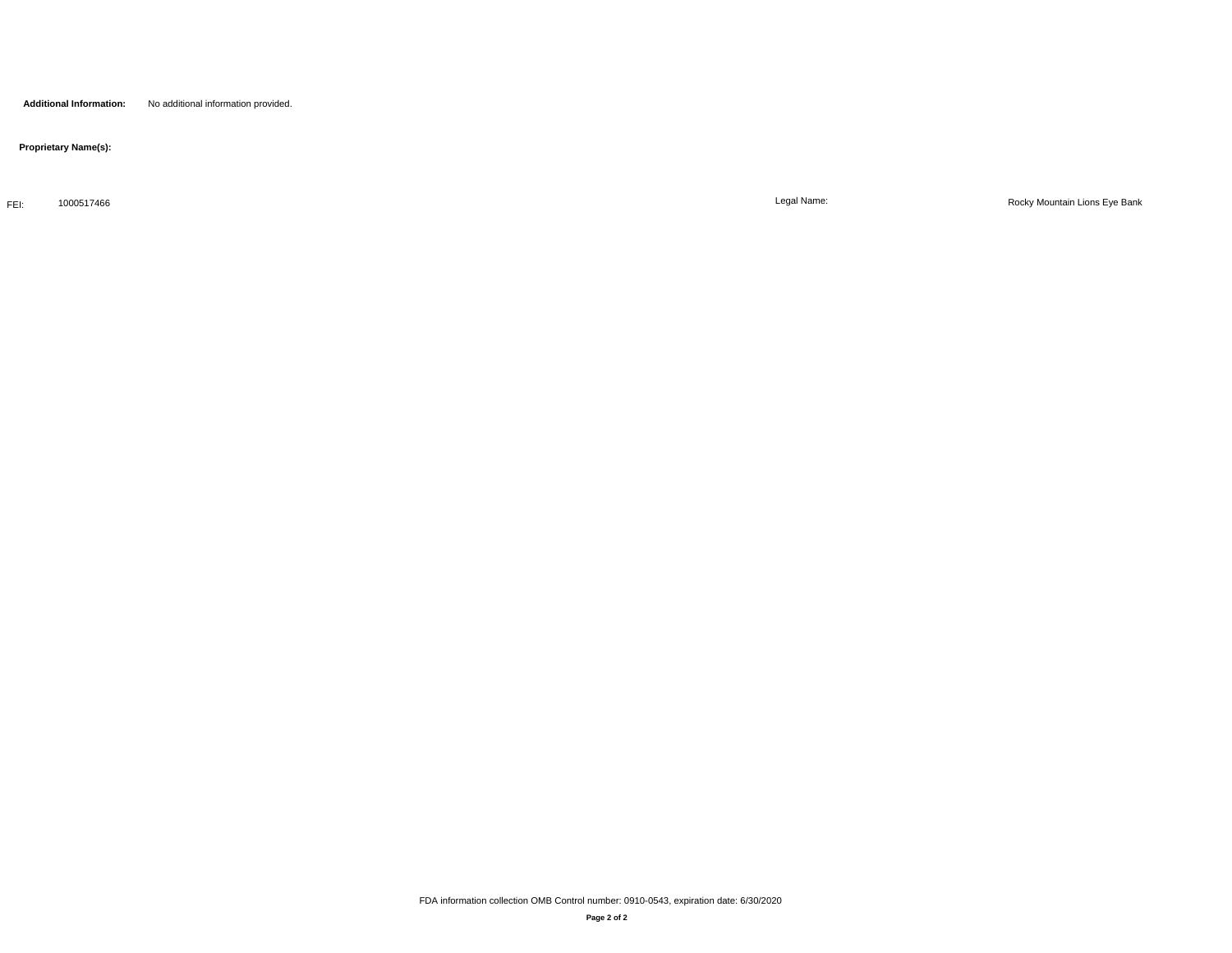## **Proprietary Name(s):**

FEI: 1000517466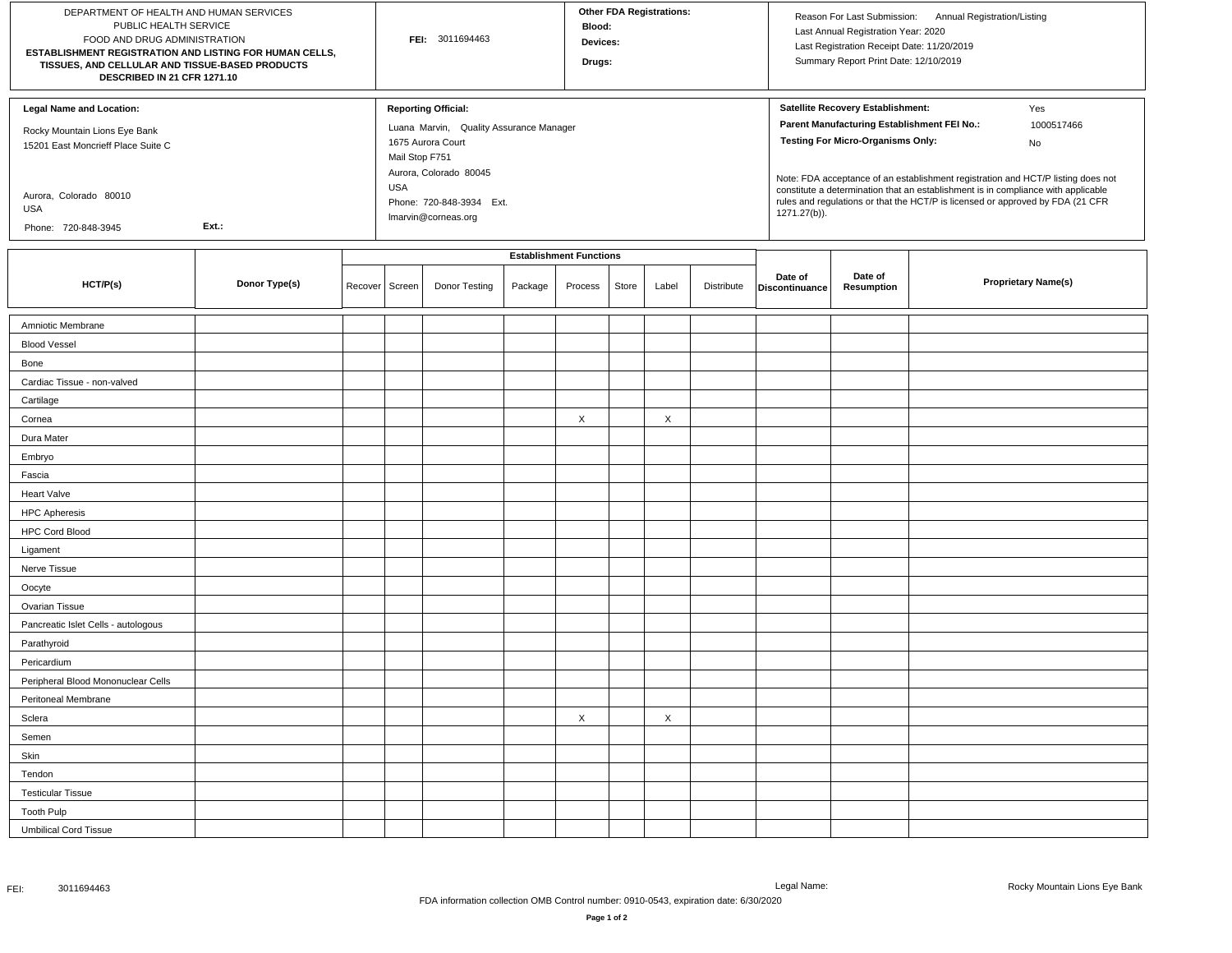| DEPARTMENT OF HEALTH AND HUMAN SERVICES<br>PUBLIC HEALTH SERVICE<br>FOOD AND DRUG ADMINISTRATION<br>ESTABLISHMENT REGISTRATION AND LISTING FOR HUMAN CELLS,<br>TISSUES, AND CELLULAR AND TISSUE-BASED PRODUCTS<br>DESCRIBED IN 21 CFR 1271.10 |               |         |                              | FEI: 3011694463                                                                                                                                                         |         | Blood:<br>Devices:<br>Drugs:   |       | <b>Other FDA Registrations:</b> |            |                | Last Annual Registration Year: 2020<br>Last Registration Receipt Date: 11/20/2019<br>Summary Report Print Date: 12/10/2019   | Reason For Last Submission: Annual Registration/Listing                                                                                                                                                                                                                            |
|-----------------------------------------------------------------------------------------------------------------------------------------------------------------------------------------------------------------------------------------------|---------------|---------|------------------------------|-------------------------------------------------------------------------------------------------------------------------------------------------------------------------|---------|--------------------------------|-------|---------------------------------|------------|----------------|------------------------------------------------------------------------------------------------------------------------------|------------------------------------------------------------------------------------------------------------------------------------------------------------------------------------------------------------------------------------------------------------------------------------|
| <b>Legal Name and Location:</b><br>Rocky Mountain Lions Eye Bank<br>15201 East Moncrieff Place Suite C<br>Aurora, Colorado 80010<br>USA<br>Phone: 720-848-3945                                                                                | Ext.:         |         | Mail Stop F751<br><b>USA</b> | <b>Reporting Official:</b><br>Luana Marvin, Quality Assurance Manager<br>1675 Aurora Court<br>Aurora, Colorado 80045<br>Phone: 720-848-3934 Ext.<br>Imarvin@corneas.org |         |                                |       |                                 |            | 1271.27(b)).   | Satellite Recovery Establishment:<br>Parent Manufacturing Establishment FEI No.:<br><b>Testing For Micro-Organisms Only:</b> | Yes<br>1000517466<br>No<br>Note: FDA acceptance of an establishment registration and HCT/P listing does not<br>constitute a determination that an establishment is in compliance with applicable<br>rules and regulations or that the HCT/P is licensed or approved by FDA (21 CFR |
|                                                                                                                                                                                                                                               |               |         |                              |                                                                                                                                                                         |         | <b>Establishment Functions</b> |       |                                 |            | Date of        | Date of                                                                                                                      |                                                                                                                                                                                                                                                                                    |
| HCT/P(s)                                                                                                                                                                                                                                      | Donor Type(s) | Recover | Screen                       | Donor Testing                                                                                                                                                           | Package | Process                        | Store | Label                           | Distribute | Discontinuance | Resumption                                                                                                                   | <b>Proprietary Name(s)</b>                                                                                                                                                                                                                                                         |
| Amniotic Membrane                                                                                                                                                                                                                             |               |         |                              |                                                                                                                                                                         |         |                                |       |                                 |            |                |                                                                                                                              |                                                                                                                                                                                                                                                                                    |
| <b>Blood Vessel</b>                                                                                                                                                                                                                           |               |         |                              |                                                                                                                                                                         |         |                                |       |                                 |            |                |                                                                                                                              |                                                                                                                                                                                                                                                                                    |
| Bone                                                                                                                                                                                                                                          |               |         |                              |                                                                                                                                                                         |         |                                |       |                                 |            |                |                                                                                                                              |                                                                                                                                                                                                                                                                                    |
| Cardiac Tissue - non-valved                                                                                                                                                                                                                   |               |         |                              |                                                                                                                                                                         |         |                                |       |                                 |            |                |                                                                                                                              |                                                                                                                                                                                                                                                                                    |
| Cartilage                                                                                                                                                                                                                                     |               |         |                              |                                                                                                                                                                         |         |                                |       |                                 |            |                |                                                                                                                              |                                                                                                                                                                                                                                                                                    |
| Cornea                                                                                                                                                                                                                                        |               |         |                              |                                                                                                                                                                         |         | X                              |       | X                               |            |                |                                                                                                                              |                                                                                                                                                                                                                                                                                    |
| Dura Mater                                                                                                                                                                                                                                    |               |         |                              |                                                                                                                                                                         |         |                                |       |                                 |            |                |                                                                                                                              |                                                                                                                                                                                                                                                                                    |
| Embryo                                                                                                                                                                                                                                        |               |         |                              |                                                                                                                                                                         |         |                                |       |                                 |            |                |                                                                                                                              |                                                                                                                                                                                                                                                                                    |
| Fascia                                                                                                                                                                                                                                        |               |         |                              |                                                                                                                                                                         |         |                                |       |                                 |            |                |                                                                                                                              |                                                                                                                                                                                                                                                                                    |
| <b>Heart Valve</b>                                                                                                                                                                                                                            |               |         |                              |                                                                                                                                                                         |         |                                |       |                                 |            |                |                                                                                                                              |                                                                                                                                                                                                                                                                                    |
| <b>HPC Apheresis</b>                                                                                                                                                                                                                          |               |         |                              |                                                                                                                                                                         |         |                                |       |                                 |            |                |                                                                                                                              |                                                                                                                                                                                                                                                                                    |
| <b>HPC Cord Blood</b>                                                                                                                                                                                                                         |               |         |                              |                                                                                                                                                                         |         |                                |       |                                 |            |                |                                                                                                                              |                                                                                                                                                                                                                                                                                    |
| Ligament                                                                                                                                                                                                                                      |               |         |                              |                                                                                                                                                                         |         |                                |       |                                 |            |                |                                                                                                                              |                                                                                                                                                                                                                                                                                    |
| Nerve Tissue                                                                                                                                                                                                                                  |               |         |                              |                                                                                                                                                                         |         |                                |       |                                 |            |                |                                                                                                                              |                                                                                                                                                                                                                                                                                    |
| Oocyte                                                                                                                                                                                                                                        |               |         |                              |                                                                                                                                                                         |         |                                |       |                                 |            |                |                                                                                                                              |                                                                                                                                                                                                                                                                                    |
| Ovarian Tissue                                                                                                                                                                                                                                |               |         |                              |                                                                                                                                                                         |         |                                |       |                                 |            |                |                                                                                                                              |                                                                                                                                                                                                                                                                                    |
| Pancreatic Islet Cells - autologous                                                                                                                                                                                                           |               |         |                              |                                                                                                                                                                         |         |                                |       |                                 |            |                |                                                                                                                              |                                                                                                                                                                                                                                                                                    |
| Parathyroid                                                                                                                                                                                                                                   |               |         |                              |                                                                                                                                                                         |         |                                |       |                                 |            |                |                                                                                                                              |                                                                                                                                                                                                                                                                                    |
| Pericardium                                                                                                                                                                                                                                   |               |         |                              |                                                                                                                                                                         |         |                                |       |                                 |            |                |                                                                                                                              |                                                                                                                                                                                                                                                                                    |
| Peripheral Blood Mononuclear Cells                                                                                                                                                                                                            |               |         |                              |                                                                                                                                                                         |         |                                |       |                                 |            |                |                                                                                                                              |                                                                                                                                                                                                                                                                                    |
| Peritoneal Membrane                                                                                                                                                                                                                           |               |         |                              |                                                                                                                                                                         |         |                                |       |                                 |            |                |                                                                                                                              |                                                                                                                                                                                                                                                                                    |
| Sclera                                                                                                                                                                                                                                        |               |         |                              |                                                                                                                                                                         |         | X                              |       | X                               |            |                |                                                                                                                              |                                                                                                                                                                                                                                                                                    |
| Semen                                                                                                                                                                                                                                         |               |         |                              |                                                                                                                                                                         |         |                                |       |                                 |            |                |                                                                                                                              |                                                                                                                                                                                                                                                                                    |
| Skin                                                                                                                                                                                                                                          |               |         |                              |                                                                                                                                                                         |         |                                |       |                                 |            |                |                                                                                                                              |                                                                                                                                                                                                                                                                                    |
| Tendon                                                                                                                                                                                                                                        |               |         |                              |                                                                                                                                                                         |         |                                |       |                                 |            |                |                                                                                                                              |                                                                                                                                                                                                                                                                                    |
| <b>Testicular Tissue</b>                                                                                                                                                                                                                      |               |         |                              |                                                                                                                                                                         |         |                                |       |                                 |            |                |                                                                                                                              |                                                                                                                                                                                                                                                                                    |
| <b>Tooth Pulp</b>                                                                                                                                                                                                                             |               |         |                              |                                                                                                                                                                         |         |                                |       |                                 |            |                |                                                                                                                              |                                                                                                                                                                                                                                                                                    |
| <b>Umbilical Cord Tissue</b>                                                                                                                                                                                                                  |               |         |                              |                                                                                                                                                                         |         |                                |       |                                 |            |                |                                                                                                                              |                                                                                                                                                                                                                                                                                    |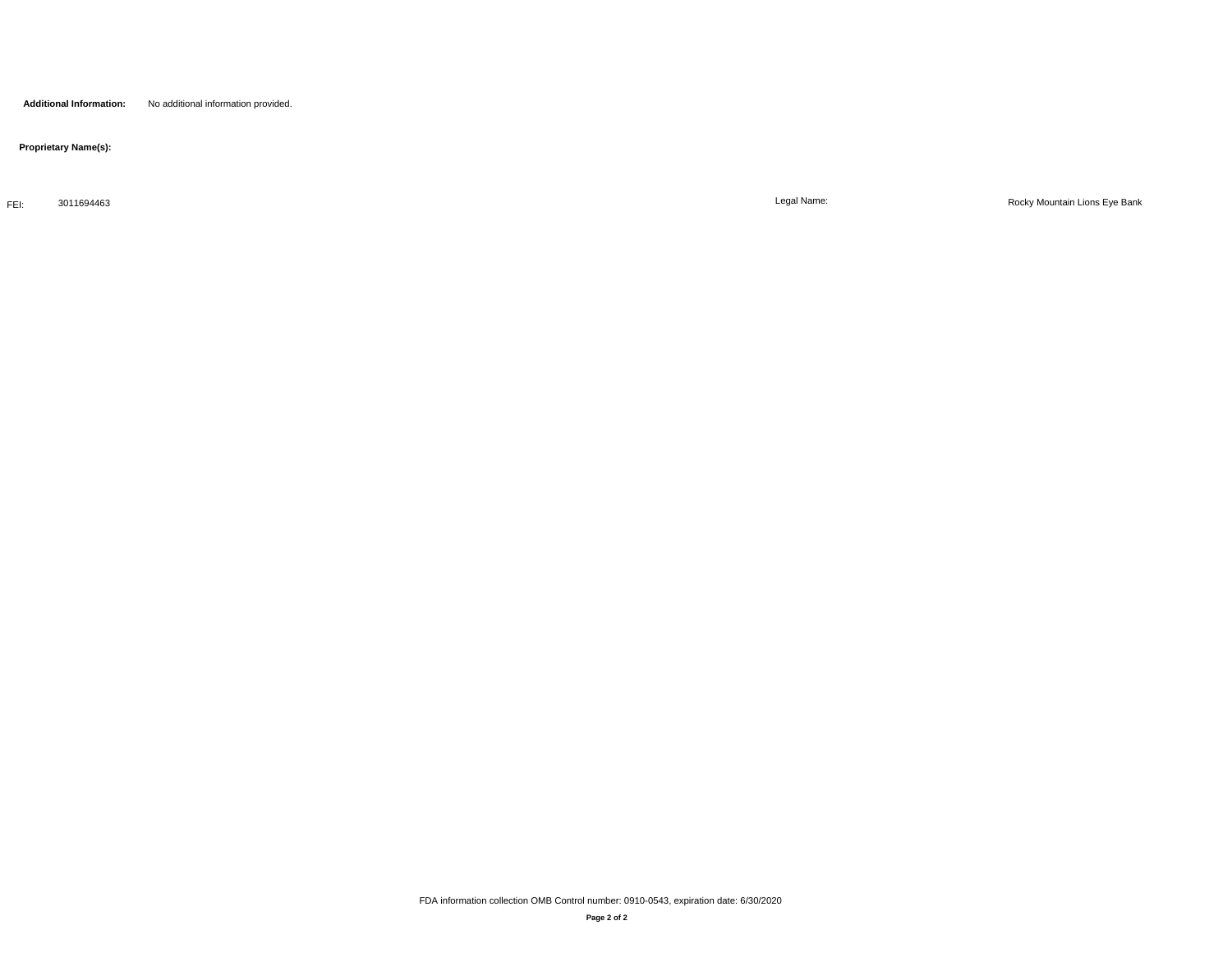**Proprietary Name(s):**

FEI: 3011694463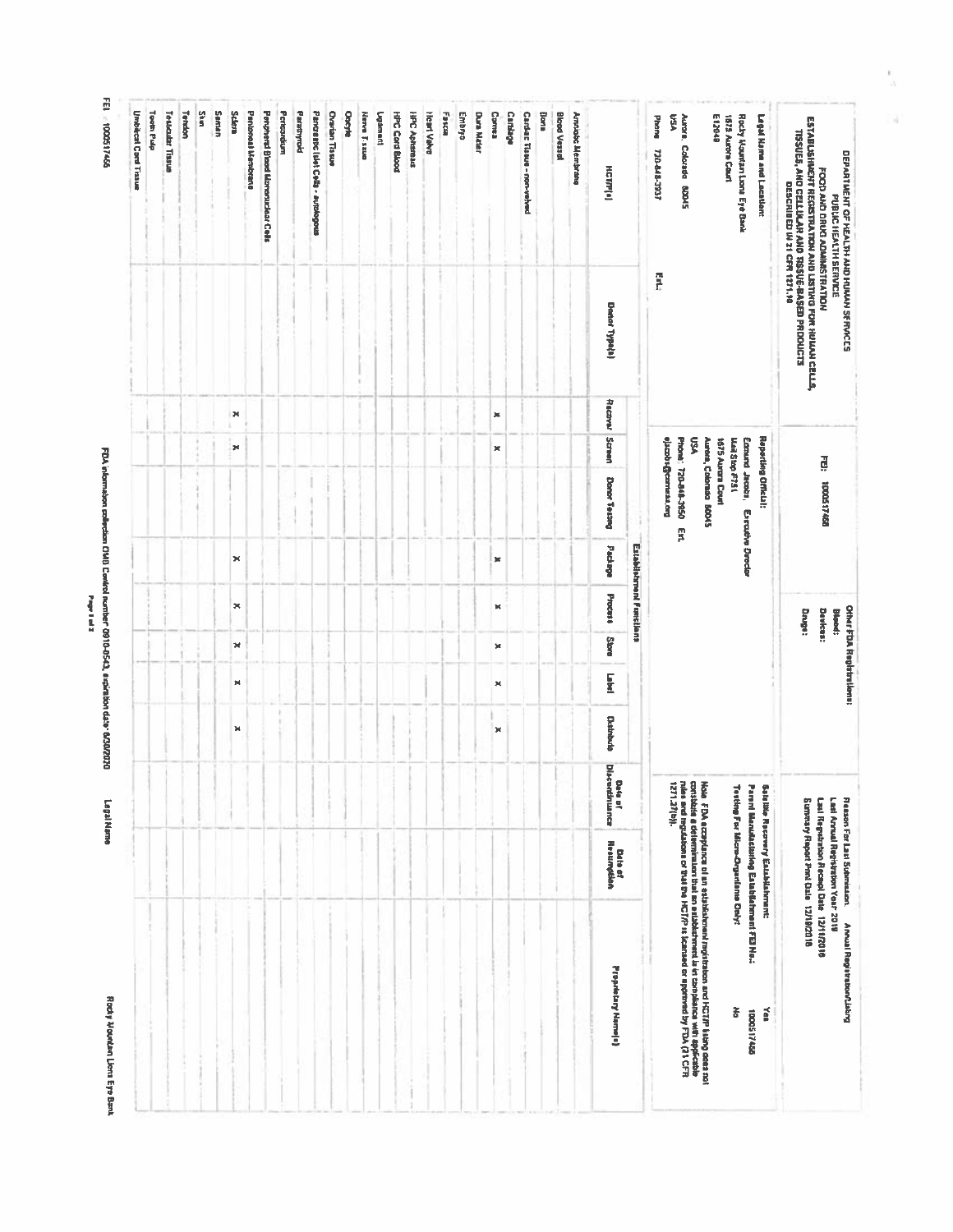Rocky Mountan Lions Eye Bank

FDA intermation collection CMB Control nomber 0910-0543, aspiration data: 0.030/2020<br>Page 1 as

Legal Name

FEI. = 1000517456

| <b>Umbitcal Cord Tristue</b> | <b>Tooth Pub</b> | Testadar Tissue | Terakin | Skin, | Seman | <b>Scient</b> | Pantoneal Membrane | Penpheral Black Monoraciose Cells | Pericandium | Parathyroid | Pancrentic lisies Cells - autologous | <b>Ovarian Tissue</b> | <b>Oorthe</b> | Here T ssue | <b>International</b> | <b>HPC Cord Blood</b> | <b>HPC Aphanaus</b> | Heart Valve | <b>Fakes</b> | Embryo | <b>Dura Mater</b> | Comea          | Carbage | Cardiac Tissus - non-velved | Bons | <b>Blood Vessel</b> | Amhight Membrana | налы                         |                             | E12040<br>VSA<br><b>Phone</b><br>Aurora, Colorada 80045<br>TZGC-BAB-3937                                                                                                                                          | 1875 Aurora Court<br>Rochy Mountan Lond Eye Bank<br>Legal Name and Location:                                              | ESTABLISHMEHT REGISTRATION AND LISTING FOR HUILAN CELLS,<br>TISSUES, AND CELLULAR AND TISSUE-RASED PRODUCTS<br>DEPARTMENT OF HEALTH AND HUNAN SERVICES<br>FOOD AND DRUG ADMINISTRATION<br>DESCRIBED IN 21 CFR 1271.10<br>PUBLIC HEALTH SERVICE |
|------------------------------|------------------|-----------------|---------|-------|-------|---------------|--------------------|-----------------------------------|-------------|-------------|--------------------------------------|-----------------------|---------------|-------------|----------------------|-----------------------|---------------------|-------------|--------------|--------|-------------------|----------------|---------|-----------------------------|------|---------------------|------------------|------------------------------|-----------------------------|-------------------------------------------------------------------------------------------------------------------------------------------------------------------------------------------------------------------|---------------------------------------------------------------------------------------------------------------------------|------------------------------------------------------------------------------------------------------------------------------------------------------------------------------------------------------------------------------------------------|
|                              |                  |                 |         |       |       |               |                    |                                   |             |             |                                      |                       |               |             |                      |                       |                     |             |              |        |                   |                |         |                             |      |                     |                  | <b>Danar Type(s)</b>         |                             | ř                                                                                                                                                                                                                 |                                                                                                                           |                                                                                                                                                                                                                                                |
|                              |                  |                 |         |       |       | ×             |                    |                                   |             |             |                                      |                       |               |             |                      |                       |                     |             |              |        |                   | $\pmb{\times}$ |         |                             |      |                     |                  | Recover Screen               |                             |                                                                                                                                                                                                                   |                                                                                                                           |                                                                                                                                                                                                                                                |
|                              |                  |                 |         |       |       | ×             |                    |                                   |             |             |                                      |                       |               |             |                      |                       |                     |             |              |        |                   | ×              |         |                             |      |                     |                  | Donor Testing                |                             | Š<br>Aurora, Colorado 80045<br><b>Book of Connection</b><br>Phone: 720-848-3850                                                                                                                                   | Raporting Officiat:<br>1675 Auran Cout<br><b>Mail Stop F751</b><br>Edmund Jacobs,                                         | FED: 100617465                                                                                                                                                                                                                                 |
|                              |                  |                 |         |       |       | ×             |                    |                                   |             |             |                                      |                       |               |             |                      |                       |                     |             |              |        |                   | ×              |         |                             |      |                     |                  | <b>Mapps</b>                 |                             | Ţ                                                                                                                                                                                                                 | Extrutive Detector                                                                                                        |                                                                                                                                                                                                                                                |
|                              |                  |                 |         |       |       | ×             |                    |                                   |             |             |                                      |                       |               |             |                      |                       |                     |             |              |        |                   | κ              |         |                             |      |                     |                  | Process                      | Extendiological Protections |                                                                                                                                                                                                                   |                                                                                                                           | <b>Devices:</b><br>Druge:<br>Blood:                                                                                                                                                                                                            |
|                              |                  |                 |         |       |       | ×             |                    |                                   |             |             |                                      |                       |               |             |                      |                       |                     |             |              |        |                   | ×              |         |                             |      |                     |                  | <b>Store</b>                 |                             |                                                                                                                                                                                                                   |                                                                                                                           | <b>Other FDA Replatrations:</b>                                                                                                                                                                                                                |
|                              |                  |                 |         |       |       | ×<br>×        |                    |                                   |             |             |                                      |                       |               |             |                      |                       |                     |             |              |        |                   | ×<br>×         |         |                             |      |                     |                  | E<br><b>Cuthbute</b>         |                             |                                                                                                                                                                                                                   |                                                                                                                           |                                                                                                                                                                                                                                                |
|                              |                  |                 |         |       |       |               |                    |                                   |             |             |                                      |                       |               |             |                      |                       |                     |             |              |        |                   |                |         |                             |      |                     |                  | Discontinument<br>Della pf   |                             |                                                                                                                                                                                                                   |                                                                                                                           |                                                                                                                                                                                                                                                |
|                              |                  |                 |         |       |       |               |                    |                                   |             |             |                                      |                       |               |             |                      |                       |                     |             |              |        |                   |                |         |                             |      |                     |                  | <b>Date of</b><br>Resumption |                             |                                                                                                                                                                                                                   | Panni Manutatisting Eskisfahment FEI No.:<br>Teting For Micro-Organisme Only:<br><b>Satellite Recovery Establishment:</b> | Last Arruel Registration Year 2019<br><b>Reason For Lati Submission.</b><br>Summary Report Print Date 12/18/2018<br>Last Republicion Recardo Date 12/11/2016                                                                                   |
|                              |                  |                 |         |       |       |               |                    |                                   |             |             |                                      |                       |               |             |                      |                       |                     |             |              |        |                   |                |         |                             |      |                     |                  | Propriatary Name a)          |                             | Nole FDA ecceptures of an estatealement ingistation and NCT(P fairs) costs not<br>the second material control is a subsidiary metal to complete the approach of the second second<br>1271-27(b)).<br>1271-27(b)). | š<br>š<br>55745001                                                                                                        | Annual Registration/Lisking                                                                                                                                                                                                                    |

 $\frac{a}{n}$ 

ù,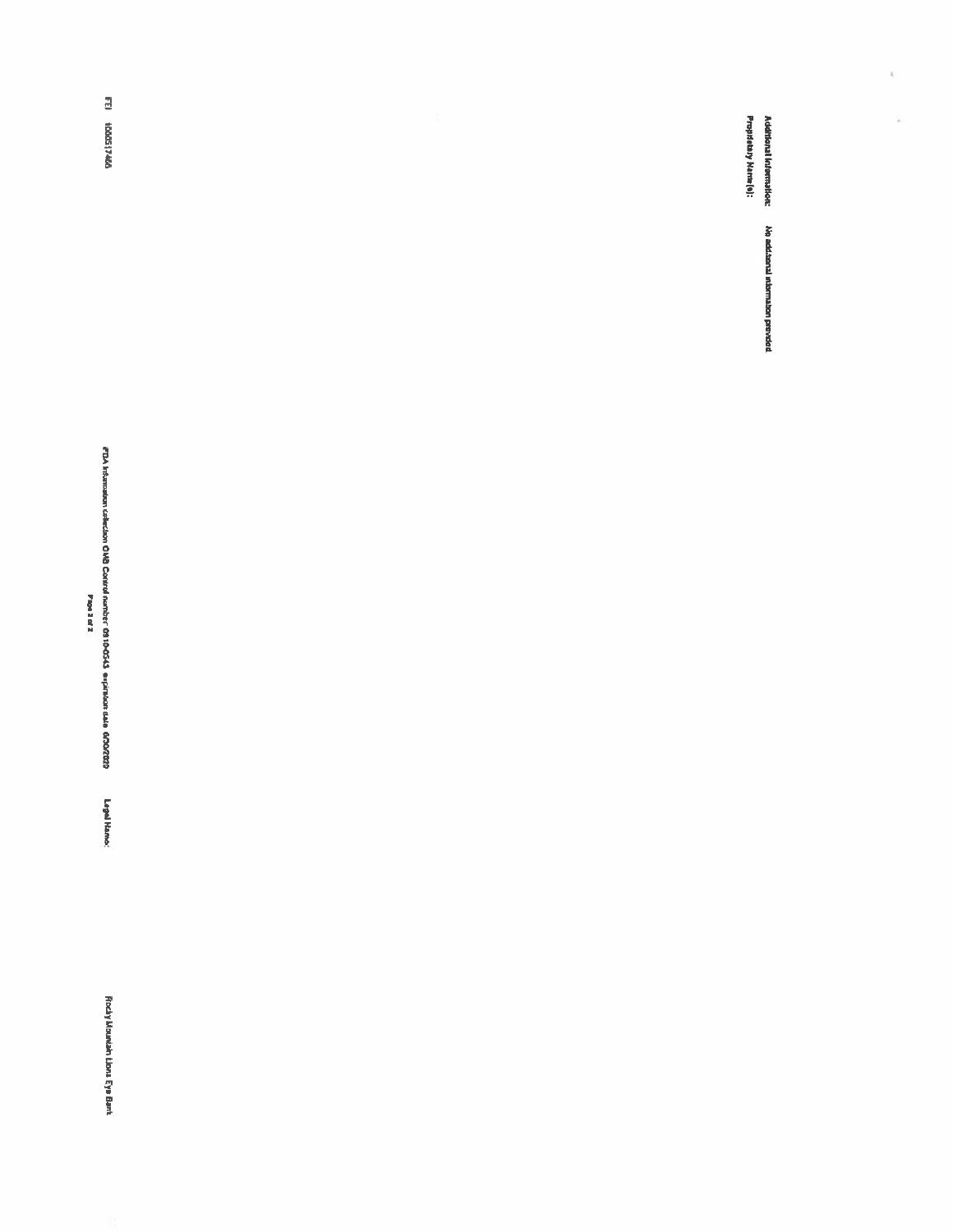$\bar{b}$ 

 $\overline{\phantom{a}}$ 

Proprietary Name(s):

**FEI 100517466** 

FDA intermation collection OHB Control number 09 10-0543 a ripiraton data 650/2020 Legal Name: Paperade

Rocky Mountain Lions Eye Bank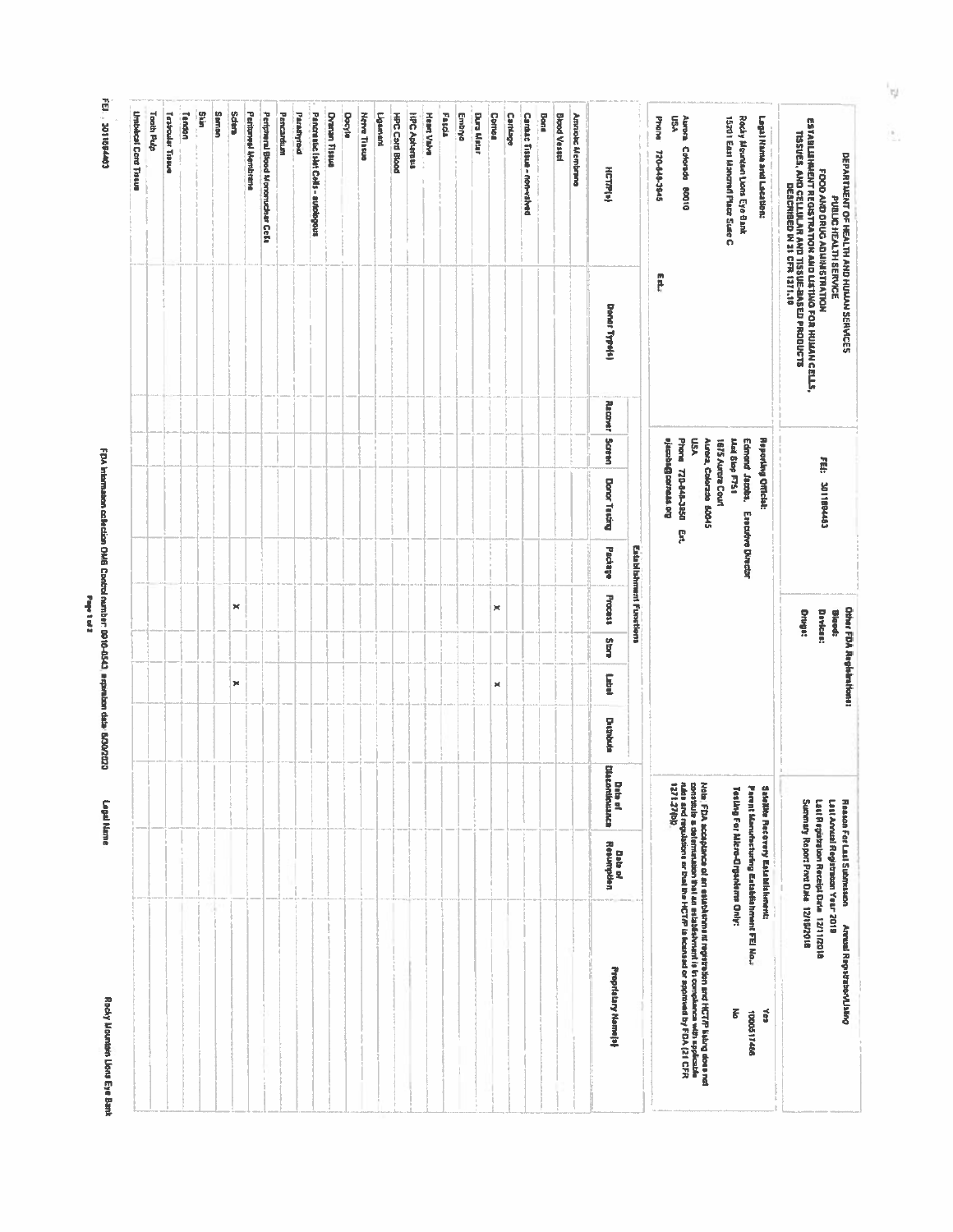Rocky Mountain Lions Eye Bank

FDA intermation collection OMB Control number: 0910-0543 expression data' 6/30/2023 Page 1 of 2

Logal Name

FEI., 3011694403

| <b>Umblicat Cord Trause</b> | Tooth Pulp | Testicular Trisum | Tendon | units<br>Si | <b>Seman</b> | <b>Sdan</b> | Perinmed Membrane | Periptreral Blood Morcorucbusr Cella | Pencardium | Paradhroid | Pancraskic lakt Colls - autologous | Durian fission | Docyle | <b>Nerve Tilsue</b> | Ligencod | HPC Card Blood | <b>HPC Apharess</b> | Heart Valve | Fascia | Embrya | Dura Matar | Comas | Cartillage | Cardac Tissue - non-valved | Bons | Black Vessal | Ammond Membrana | <b>HETRIAL</b><br><b>Donor Type(4)</b> |                                | <b>PYONS</b><br>720-848-3945<br>四路 | Ş٦<br>Auctai<br>Cricrada 80010                                                                                                                                                                 |                                             | 15201 East Monorell Place Suse C. | Rocky Mountant Lions Eye Bank<br>Legal Name and Lacation:                                        |     | ESTABLISHAIENT REGISTRATION AND LISTING FOR HULLAN CELLS,<br>1185165, ANO CELLULAR AND 1155UE-BASED PROQUOTS<br>1185165, ANO CELLULAR AND 1155UE-BASED PROQUOTS | FOOD AND DRUG ADMINISTRATION            |
|-----------------------------|------------|-------------------|--------|-------------|--------------|-------------|-------------------|--------------------------------------|------------|------------|------------------------------------|----------------|--------|---------------------|----------|----------------|---------------------|-------------|--------|--------|------------|-------|------------|----------------------------|------|--------------|-----------------|----------------------------------------|--------------------------------|------------------------------------|------------------------------------------------------------------------------------------------------------------------------------------------------------------------------------------------|---------------------------------------------|-----------------------------------|--------------------------------------------------------------------------------------------------|-----|-----------------------------------------------------------------------------------------------------------------------------------------------------------------|-----------------------------------------|
|                             |            |                   |        |             |              |             |                   |                                      |            |            |                                    |                |        |                     |          |                |                     |             |        |        |            |       |            |                            |      |              |                 |                                        |                                |                                    |                                                                                                                                                                                                |                                             |                                   |                                                                                                  |     |                                                                                                                                                                 |                                         |
|                             |            |                   |        |             |              |             |                   |                                      |            |            |                                    |                |        |                     |          |                |                     |             |        |        |            |       |            |                            |      |              |                 | Racover                                |                                |                                    |                                                                                                                                                                                                | VSN                                         |                                   |                                                                                                  |     |                                                                                                                                                                 |                                         |
|                             |            |                   |        |             |              |             |                   |                                      |            |            |                                    |                |        |                     |          |                |                     |             |        |        |            |       |            |                            |      |              |                 | <b>Sasen</b>                           |                                |                                    | Phone 770-048-3850<br><b>Ao resusoBracele</b>                                                                                                                                                  | Aurera, Colorado 80045<br>1875 Aunora Court | <b>Jiai Siop F751</b>             | Edmond Jacoba, Executive Director<br><b>Reporting Official:</b>                                  |     |                                                                                                                                                                 | FEE: 301189445                          |
|                             |            |                   |        |             |              |             |                   |                                      |            |            |                                    |                |        |                     |          |                |                     |             |        |        |            |       |            |                            |      |              |                 | <b>Donor Tasking</b>                   |                                |                                    | ቜ                                                                                                                                                                                              |                                             |                                   |                                                                                                  |     |                                                                                                                                                                 |                                         |
|                             |            |                   |        |             |              |             |                   |                                      |            |            |                                    |                |        |                     |          |                |                     |             |        |        |            |       |            |                            |      |              |                 | adapted                                | <b>Establishment Functions</b> |                                    |                                                                                                                                                                                                |                                             |                                   |                                                                                                  |     |                                                                                                                                                                 |                                         |
|                             |            |                   |        |             |              | ×           |                   |                                      |            |            |                                    |                |        |                     |          |                |                     |             |        |        |            | ×     |            |                            |      |              |                 | <b>Process</b>                         |                                |                                    |                                                                                                                                                                                                |                                             |                                   |                                                                                                  |     | Druget:                                                                                                                                                         | Devices:                                |
|                             |            |                   |        |             |              |             |                   |                                      |            |            |                                    |                |        |                     |          |                |                     |             |        |        |            |       |            |                            |      |              |                 | <b>Slare</b>                           |                                |                                    |                                                                                                                                                                                                |                                             |                                   |                                                                                                  |     |                                                                                                                                                                 |                                         |
|                             |            |                   |        |             |              | ×           |                   |                                      |            |            |                                    |                |        |                     |          |                |                     |             |        |        |            | ×     |            |                            |      |              |                 | E                                      |                                |                                    |                                                                                                                                                                                                |                                             |                                   |                                                                                                  |     |                                                                                                                                                                 |                                         |
|                             |            |                   |        |             |              |             |                   |                                      |            |            |                                    |                |        |                     |          |                |                     |             |        |        |            |       |            |                            |      |              |                 | <b>Buchdood</b>                        |                                |                                    |                                                                                                                                                                                                |                                             |                                   |                                                                                                  |     |                                                                                                                                                                 |                                         |
|                             |            |                   |        |             |              |             |                   |                                      |            |            |                                    |                |        |                     |          |                |                     |             |        |        |            |       |            |                            |      |              |                 | Data of<br>Oktorišnica                 |                                |                                    |                                                                                                                                                                                                |                                             |                                   |                                                                                                  |     |                                                                                                                                                                 |                                         |
|                             |            |                   |        |             |              |             |                   |                                      |            |            |                                    |                |        |                     |          |                |                     |             |        |        |            |       |            |                            |      |              |                 | <b>Data of</b><br>Resumption           |                                |                                    |                                                                                                                                                                                                |                                             |                                   | SaleRite Recovery Establistment:                                                                 |     | Summary Report Post Dale: 12/19/2018                                                                                                                            | Last Reparation Receipt Date 12/11/2018 |
|                             |            |                   |        |             |              |             |                   |                                      |            |            |                                    |                |        |                     |          |                |                     |             |        |        |            |       |            |                            |      |              |                 | Proprietary Nemețej                    |                                |                                    | Note, FDA acceptance of an establishment mystestem and HCTP kiarg does not<br>community a determination that are establishment is to complainte with spiceable<br>1271:27(b)),<br>1271:27(b)), |                                             | Š                                 | Parent Monuhectoring Existelianment FEI No.:<br>Testing For Altero-Organisms Only:<br>1000317466 | kes |                                                                                                                                                                 |                                         |

 $\eta$ 

 $\frac{1}{2}$ 

Cohar FDA Registrations:<br>Biaod:<br>Devices: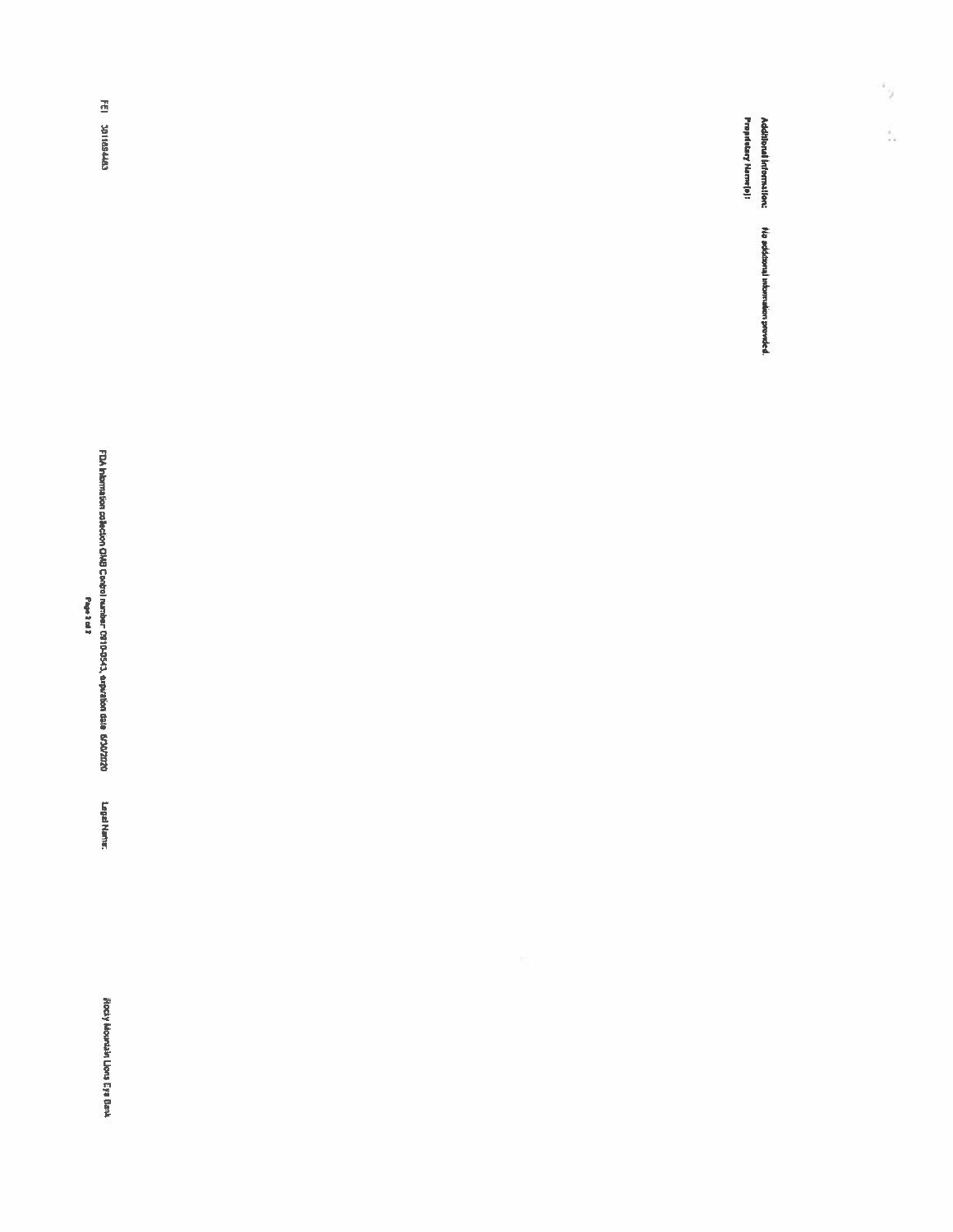Rocky Mountain Llons Eys Bank

Legal Name:

FDA Internation collection CMG Control number PS19-5543, expiration date 65002020<br>Page 3 of 2

FEI 3011884463

Additional Information:<br>Propriatary Name(e): Na additional information provided.  $\frac{1}{2}$ 

Á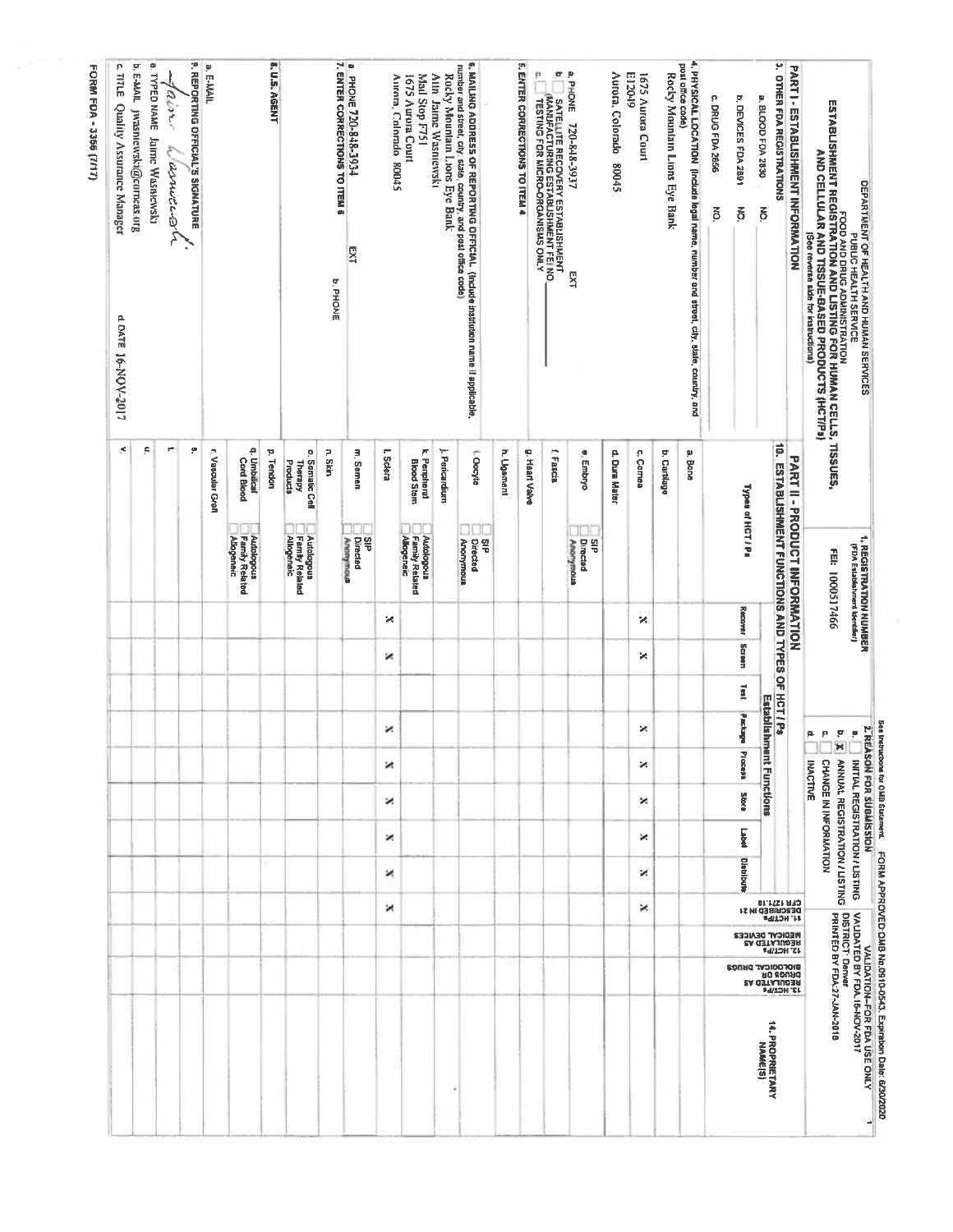| DEPARTMENT OF HEALTH AND HUMAN SERVICES                                                                                                                                                                                                |                                        | 1. REGISTRATION NUMBER<br>(FDA Etabishment Identifici) |         |        |      | <b>2.REA</b>                           | SON FOR SUBMISSION                       | <b>See Instructions for OMB Statement.</b> |                                                                 |                   |                                                            |                                        |                                                   | FORM APPROVED OMB No.0910-0543. Expiration Date: 6/30/2020<br>VALIDATION-FOR FDA USE ONLY |
|----------------------------------------------------------------------------------------------------------------------------------------------------------------------------------------------------------------------------------------|----------------------------------------|--------------------------------------------------------|---------|--------|------|----------------------------------------|------------------------------------------|--------------------------------------------|-----------------------------------------------------------------|-------------------|------------------------------------------------------------|----------------------------------------|---------------------------------------------------|-------------------------------------------------------------------------------------------|
| PUBLIC HERVITH SERVICE<br>ESTABLISHMENT REGISTRATION AND LISTING FOR HUMAN CELLS, TISSUES,<br>AND CELLULAR AND TISSUE-BASED PRODUCTS (HCT/Ps)<br>AND CELLULAR AND TISSUE-BASED PRODUCTS (HCT/Ps)<br>See reverse side for instructions) |                                        | FEI: 1000517466                                        |         |        |      | $\ddot{\bullet}$<br>à.<br>p<br>p.<br>× | CHANGE IN INFORMATION<br><b>INACTIVE</b> |                                            | ANNUAL REGISTRATION / LISTING<br>INITIAL REGISTRATION / LISTING |                   |                                                            |                                        | PRINTED BY FDA:27-JAN-2018                        | VALIDATED BY FDA.15-NOV-2017<br>DISTRICT: Denver                                          |
| PARTI - ESTABLISHMENT INFORMATION                                                                                                                                                                                                      |                                        | PART II - PRODUCT INFORMATION                          |         |        |      |                                        |                                          |                                            |                                                                 |                   |                                                            |                                        |                                                   |                                                                                           |
| ۳<br>OTHER FDA REGISTRATIONS                                                                                                                                                                                                           |                                        | 10. ESTABLISHMENT FUNCTIONS AND TYPES OF HCT / Ps      |         |        |      |                                        |                                          |                                            |                                                                 |                   | <b>CFRIDED IN 21<br/>DESCRIBÉD IN 31<br/>CFRIDED IN 31</b> | <b>12' HCT/Ps</b>                      | 13' HC1/b <sup>e</sup>                            |                                                                                           |
| a. BLOOD FDA 2830<br>$\overline{6}$                                                                                                                                                                                                    |                                        |                                                        |         |        |      | Establishm                             | ant Functions                            |                                            |                                                                 |                   |                                                            |                                        |                                                   | <b>14. PROPRIETARY<br/>MAME[S]</b>                                                        |
| b. DEVICES FDA 2891<br>š                                                                                                                                                                                                               |                                        | Types of HCT/Ps                                        | Recover | Screen | lest | Package                                | Process                                  | <b>Store</b>                               | E                                                               | <b>Distribute</b> |                                                            | <b>NEDICAL DEVICES</b><br>REGULATED AS | BIOFOCICYF DIARCE<br>DIARCE DIA<br>NECRITY LED YS |                                                                                           |
| P<br>DRUG FDA 2656<br>$\overline{6}$                                                                                                                                                                                                   |                                        |                                                        |         |        |      |                                        |                                          |                                            |                                                                 |                   |                                                            |                                        |                                                   |                                                                                           |
| 4. PHYSICAL LOCATION (Include legal name, number and street, city, state, country, and<br>post office code)                                                                                                                            | a. Bane                                |                                                        |         |        |      |                                        |                                          |                                            |                                                                 |                   |                                                            |                                        |                                                   |                                                                                           |
| Rocky Mountain Lions Eye Bank                                                                                                                                                                                                          | b. Cartilage                           |                                                        |         |        |      |                                        |                                          |                                            |                                                                 |                   |                                                            |                                        |                                                   |                                                                                           |
| 1675 Aurora Court                                                                                                                                                                                                                      | c. Cornea                              |                                                        | ×       | ×      |      | ×                                      | ×                                        | ×                                          | ×                                                               | ×                 | ×                                                          |                                        |                                                   |                                                                                           |
| Aurora, Colorado<br>E12049<br>St008                                                                                                                                                                                                    | d. Dura Mater                          |                                                        |         |        |      |                                        |                                          |                                            |                                                                 |                   |                                                            |                                        |                                                   |                                                                                           |
| a. PHONE<br>720-848-3937<br>ΣÃ                                                                                                                                                                                                         | e, Embryo                              | Directed<br>띀<br>Anomymous                             |         |        |      |                                        |                                          |                                            |                                                                 |                   |                                                            |                                        |                                                   |                                                                                           |
| ø<br>SATELLITE RECOVERY ESTABLISHMENT<br>(MANUFACTURING ESTABLISHMENT FEI NO.<br>TESTING FOR MICRO-ORGANISMS ONLY                                                                                                                      | f Fascia                               |                                                        |         |        |      |                                        |                                          |                                            |                                                                 |                   |                                                            |                                        |                                                   |                                                                                           |
| 5. ENTER CORRECTIONS TO ITEM 4<br>p.                                                                                                                                                                                                   | g. Heart Valve                         |                                                        |         |        |      |                                        |                                          |                                            |                                                                 |                   |                                                            |                                        |                                                   |                                                                                           |
|                                                                                                                                                                                                                                        | h. Ugament                             |                                                        |         |        |      |                                        |                                          |                                            |                                                                 |                   |                                                            |                                        |                                                   |                                                                                           |
| 6. MAILING ADDRESS OF REPORTING OFFICIAL (Include institution name if applicable,<br>number and street, city state, country, and post office code)                                                                                     | I, Oocyte                              | g<br>T<br>Anomymous<br>Directed                        |         |        |      |                                        |                                          |                                            |                                                                 |                   |                                                            |                                        |                                                   |                                                                                           |
| Rocky Mountain Lions Eye Bank                                                                                                                                                                                                          | ). Perkardium                          |                                                        |         |        |      |                                        |                                          |                                            |                                                                 |                   |                                                            |                                        |                                                   |                                                                                           |
| Mail Stop F751<br>1675 Aurora Court<br>Attn: Jaime Wasniewski                                                                                                                                                                          | k. Peripheral<br><b>Blood Stem</b>     | Family Related<br>Autopolous<br><b>Allogeneic</b>      |         |        |      |                                        |                                          |                                            |                                                                 |                   |                                                            |                                        |                                                   |                                                                                           |
| Aurora, Colorado 80045                                                                                                                                                                                                                 | L Sclera                               |                                                        | ×       | ×      |      | ×                                      | ×                                        | ×                                          | ×                                                               | ×                 | и                                                          |                                        |                                                   |                                                                                           |
| EXT                                                                                                                                                                                                                                    | m. Semen                               | g<br>Directed                                          |         |        |      |                                        |                                          |                                            |                                                                 |                   |                                                            |                                        |                                                   |                                                                                           |
| a PHONE 720-848-3934<br>7. ENTER CORRECTIONS TO ITEM 6<br><b>b.PHONE</b>                                                                                                                                                               | n. Skin                                | Алопутоца                                              |         |        |      |                                        |                                          |                                            |                                                                 |                   |                                                            |                                        |                                                   |                                                                                           |
|                                                                                                                                                                                                                                        | c. Somatic Cell<br>Products<br>Therapy | Autologous<br>  Family Related<br>  Allogeneic         |         |        |      |                                        |                                          |                                            |                                                                 |                   |                                                            |                                        |                                                   |                                                                                           |
| 8. U.S. AGENT                                                                                                                                                                                                                          | p. Tendon                              |                                                        |         |        |      |                                        |                                          |                                            |                                                                 |                   |                                                            |                                        |                                                   |                                                                                           |
|                                                                                                                                                                                                                                        | q. Umbilical<br><b>Cord Blood</b>      | Autologous<br>Family Related<br><b>Allogeneic</b>      |         |        |      |                                        |                                          |                                            |                                                                 |                   |                                                            |                                        |                                                   |                                                                                           |
| a. E-MAIL                                                                                                                                                                                                                              | r. Vascular Graft                      |                                                        |         |        |      |                                        |                                          |                                            |                                                                 |                   |                                                            |                                        |                                                   |                                                                                           |
| <b>P. REPORTING OFFICIAL'S SIGNATURE</b>                                                                                                                                                                                               | ë                                      |                                                        |         |        |      |                                        |                                          |                                            |                                                                 |                   |                                                            |                                        |                                                   |                                                                                           |
| anne<br>asmitu2n                                                                                                                                                                                                                       | ۳                                      |                                                        |         |        |      |                                        |                                          |                                            |                                                                 |                   |                                                            |                                        |                                                   |                                                                                           |
| à.<br>ë<br>E-MAIL JWASDICWSki@corneas.org<br>TYPED NAME Jaime Wasniewski                                                                                                                                                               | F                                      |                                                        |         |        |      |                                        |                                          |                                            |                                                                 |                   |                                                            |                                        |                                                   |                                                                                           |
| $\boldsymbol{\Omega}$<br><b>TITLE</b><br>Quality Assurance Manager<br>4. DATE 16-NOV-2017                                                                                                                                              | ×                                      |                                                        |         |        |      |                                        |                                          |                                            |                                                                 |                   |                                                            |                                        |                                                   |                                                                                           |
|                                                                                                                                                                                                                                        |                                        |                                                        |         |        |      |                                        |                                          |                                            |                                                                 |                   |                                                            |                                        |                                                   |                                                                                           |

FORM FDA - 3356 (7/17)